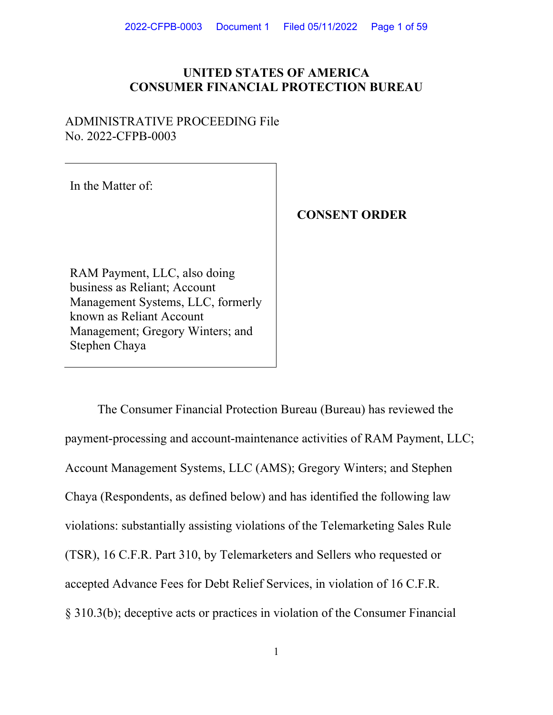# **UNITED STATES OF AMERICA CONSUMER FINANCIAL PROTECTION BUREAU**

## ADMINISTRATIVE PROCEEDING File No. 2022-CFPB-0003

In the Matter of:

# **CONSENT ORDER**

RAM Payment, LLC, also doing business as Reliant; Account Management Systems, LLC, formerly known as Reliant Account Management; Gregory Winters; and Stephen Chaya

The Consumer Financial Protection Bureau (Bureau) has reviewed the payment-processing and account-maintenance activities of RAM Payment, LLC; Account Management Systems, LLC (AMS); Gregory Winters; and Stephen Chaya (Respondents, as defined below) and has identified the following law violations: substantially assisting violations of the Telemarketing Sales Rule (TSR), 16 C.F.R. Part 310, by Telemarketers and Sellers who requested or accepted Advance Fees for Debt Relief Services, in violation of 16 C.F.R. § 310.3(b); deceptive acts or practices in violation of the Consumer Financial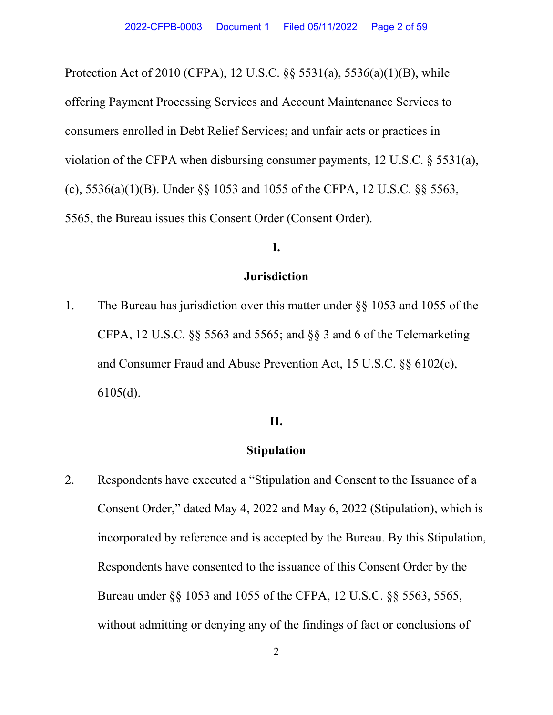Protection Act of 2010 (CFPA), 12 U.S.C. §§ 5531(a), 5536(a)(1)(B), while offering Payment Processing Services and Account Maintenance Services to consumers enrolled in Debt Relief Services; and unfair acts or practices in violation of the CFPA when disbursing consumer payments, 12 U.S.C. § 5531(a), (c), 5536(a)(1)(B). Under §§ 1053 and 1055 of the CFPA, 12 U.S.C. §§ 5563, 5565, the Bureau issues this Consent Order (Consent Order).

### **I.**

### **Jurisdiction**

1. The Bureau has jurisdiction over this matter under §§ 1053 and 1055 of the CFPA, 12 U.S.C. §§ 5563 and 5565; and §§ 3 and 6 of the Telemarketing and Consumer Fraud and Abuse Prevention Act, 15 U.S.C. §§ 6102(c), 6105(d).

### **II.**

## **Stipulation**

2. Respondents have executed a "Stipulation and Consent to the Issuance of a Consent Order," dated May 4, 2022 and May 6, 2022 (Stipulation), which is incorporated by reference and is accepted by the Bureau. By this Stipulation, Respondents have consented to the issuance of this Consent Order by the Bureau under §§ 1053 and 1055 of the CFPA, 12 U.S.C. §§ 5563, 5565, without admitting or denying any of the findings of fact or conclusions of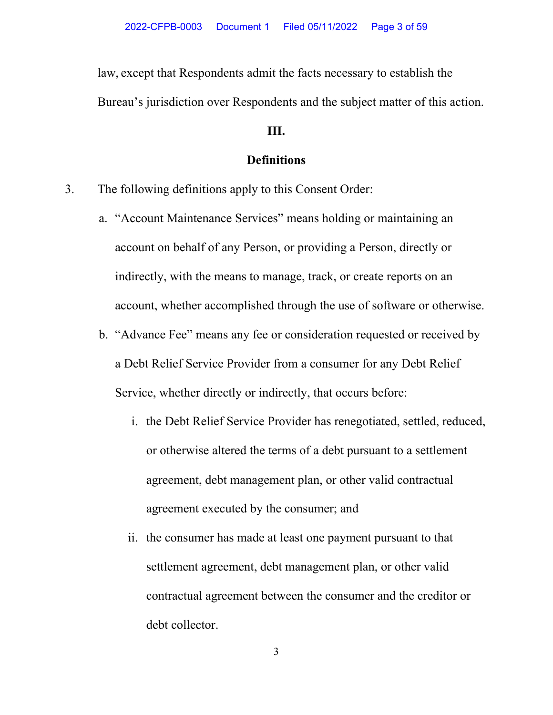law, except that Respondents admit the facts necessary to establish the Bureau's jurisdiction over Respondents and the subject matter of this action.

### **III.**

## **Definitions**

- 3. The following definitions apply to this Consent Order:
	- a. "Account Maintenance Services" means holding or maintaining an account on behalf of any Person, or providing a Person, directly or indirectly, with the means to manage, track, or create reports on an account, whether accomplished through the use of software or otherwise.
	- b. "Advance Fee" means any fee or consideration requested or received by a Debt Relief Service Provider from a consumer for any Debt Relief Service, whether directly or indirectly, that occurs before:
		- i. the Debt Relief Service Provider has renegotiated, settled, reduced, or otherwise altered the terms of a debt pursuant to a settlement agreement, debt management plan, or other valid contractual agreement executed by the consumer; and
		- ii. the consumer has made at least one payment pursuant to that settlement agreement, debt management plan, or other valid contractual agreement between the consumer and the creditor or debt collector.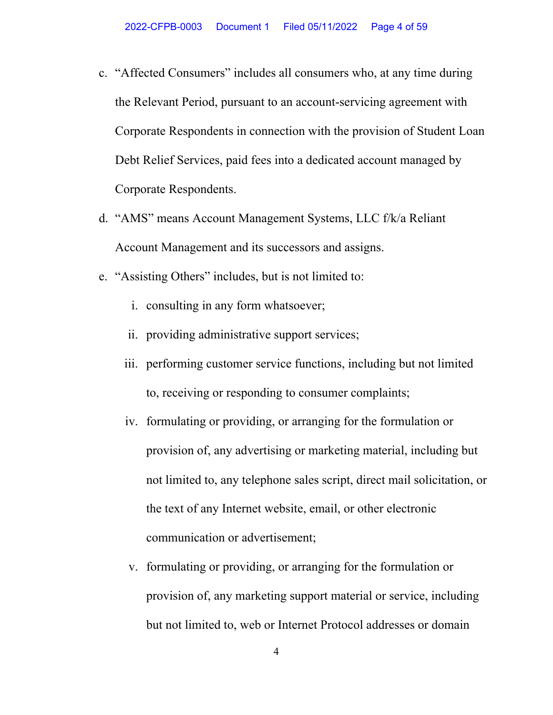- c. "Affected Consumers" includes all consumers who, at any time during the Relevant Period, pursuant to an account-servicing agreement with Corporate Respondents in connection with the provision of Student Loan Debt Relief Services, paid fees into a dedicated account managed by Corporate Respondents.
- d. "AMS" means Account Management Systems, LLC f/k/a Reliant Account Management and its successors and assigns.
- e. "Assisting Others" includes, but is not limited to:
	- i. consulting in any form whatsoever;
	- ii. providing administrative support services;
	- iii. performing customer service functions, including but not limited to, receiving or responding to consumer complaints;
	- iv. formulating or providing, or arranging for the formulation or provision of, any advertising or marketing material, including but not limited to, any telephone sales script, direct mail solicitation, or the text of any Internet website, email, or other electronic communication or advertisement;
	- v. formulating or providing, or arranging for the formulation or provision of, any marketing support material or service, including but not limited to, web or Internet Protocol addresses or domain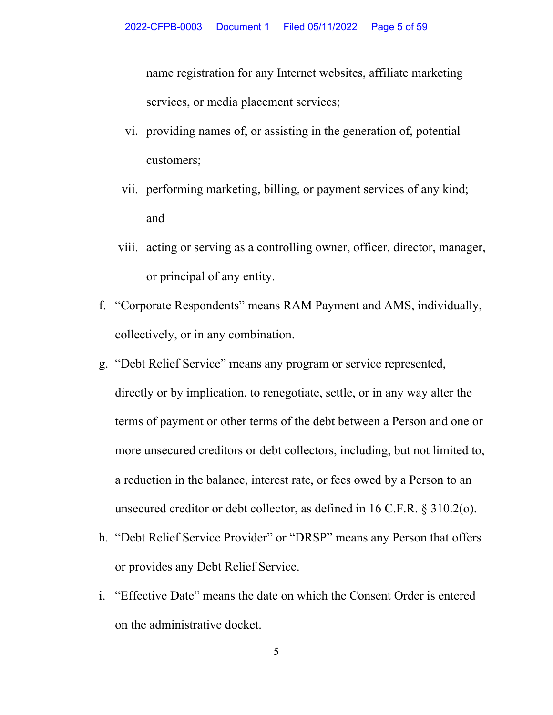name registration for any Internet websites, affiliate marketing services, or media placement services;

- vi. providing names of, or assisting in the generation of, potential customers;
- vii. performing marketing, billing, or payment services of any kind; and
- viii. acting or serving as a controlling owner, officer, director, manager, or principal of any entity.
- f. "Corporate Respondents" means RAM Payment and AMS, individually, collectively, or in any combination.
- g. "Debt Relief Service" means any program or service represented, directly or by implication, to renegotiate, settle, or in any way alter the terms of payment or other terms of the debt between a Person and one or more unsecured creditors or debt collectors, including, but not limited to, a reduction in the balance, interest rate, or fees owed by a Person to an unsecured creditor or debt collector, as defined in 16 C.F.R. § 310.2(o).
- h. "Debt Relief Service Provider" or "DRSP" means any Person that offers or provides any Debt Relief Service.
- i. "Effective Date" means the date on which the Consent Order is entered on the administrative docket.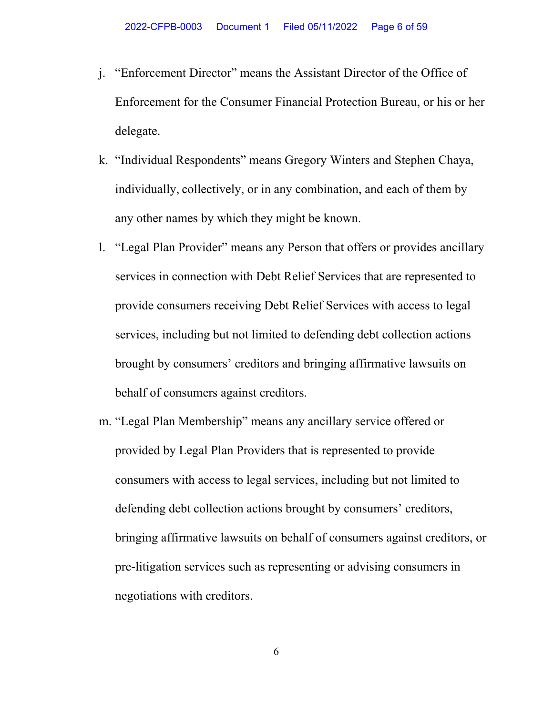- j. "Enforcement Director" means the Assistant Director of the Office of Enforcement for the Consumer Financial Protection Bureau, or his or her delegate.
- k. "Individual Respondents" means Gregory Winters and Stephen Chaya, individually, collectively, or in any combination, and each of them by any other names by which they might be known.
- l. "Legal Plan Provider" means any Person that offers or provides ancillary services in connection with Debt Relief Services that are represented to provide consumers receiving Debt Relief Services with access to legal services, including but not limited to defending debt collection actions brought by consumers' creditors and bringing affirmative lawsuits on behalf of consumers against creditors.
- m. "Legal Plan Membership" means any ancillary service offered or provided by Legal Plan Providers that is represented to provide consumers with access to legal services, including but not limited to defending debt collection actions brought by consumers' creditors, bringing affirmative lawsuits on behalf of consumers against creditors, or pre-litigation services such as representing or advising consumers in negotiations with creditors.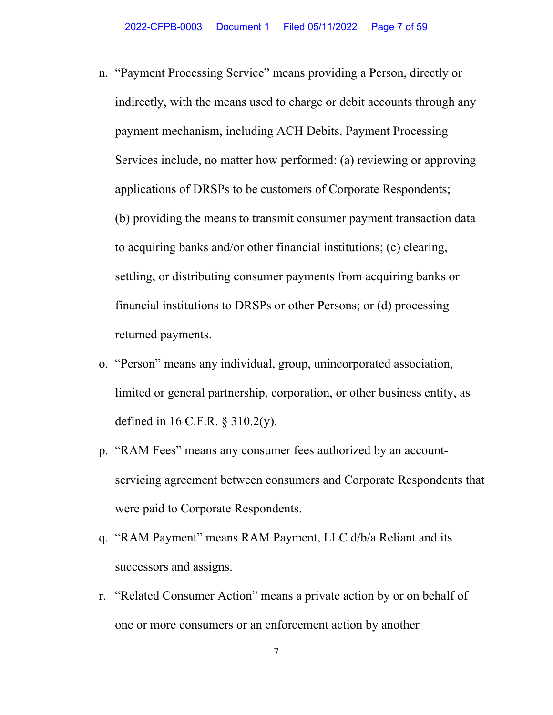- n. "Payment Processing Service" means providing a Person, directly or indirectly, with the means used to charge or debit accounts through any payment mechanism, including ACH Debits. Payment Processing Services include, no matter how performed: (a) reviewing or approving applications of DRSPs to be customers of Corporate Respondents; (b) providing the means to transmit consumer payment transaction data to acquiring banks and/or other financial institutions; (c) clearing, settling, or distributing consumer payments from acquiring banks or financial institutions to DRSPs or other Persons; or (d) processing returned payments.
- o. "Person" means any individual, group, unincorporated association, limited or general partnership, corporation, or other business entity, as defined in 16 C.F.R. § 310.2(y).
- p. "RAM Fees" means any consumer fees authorized by an accountservicing agreement between consumers and Corporate Respondents that were paid to Corporate Respondents.
- q. "RAM Payment" means RAM Payment, LLC d/b/a Reliant and its successors and assigns.
- r. "Related Consumer Action" means a private action by or on behalf of one or more consumers or an enforcement action by another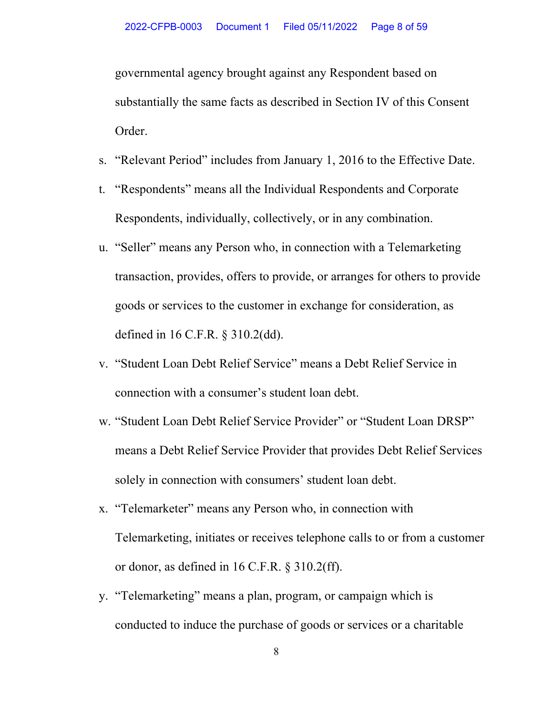governmental agency brought against any Respondent based on substantially the same facts as described in Section IV of this Consent Order.

- s. "Relevant Period" includes from January 1, 2016 to the Effective Date.
- t. "Respondents" means all the Individual Respondents and Corporate Respondents, individually, collectively, or in any combination.
- u. "Seller" means any Person who, in connection with a Telemarketing transaction, provides, offers to provide, or arranges for others to provide goods or services to the customer in exchange for consideration, as defined in 16 C.F.R. § 310.2(dd).
- v. "Student Loan Debt Relief Service" means a Debt Relief Service in connection with a consumer's student loan debt.
- w. "Student Loan Debt Relief Service Provider" or "Student Loan DRSP" means a Debt Relief Service Provider that provides Debt Relief Services solely in connection with consumers' student loan debt.
- x. "Telemarketer" means any Person who, in connection with Telemarketing, initiates or receives telephone calls to or from a customer or donor, as defined in 16 C.F.R. § 310.2(ff).
- y. "Telemarketing" means a plan, program, or campaign which is conducted to induce the purchase of goods or services or a charitable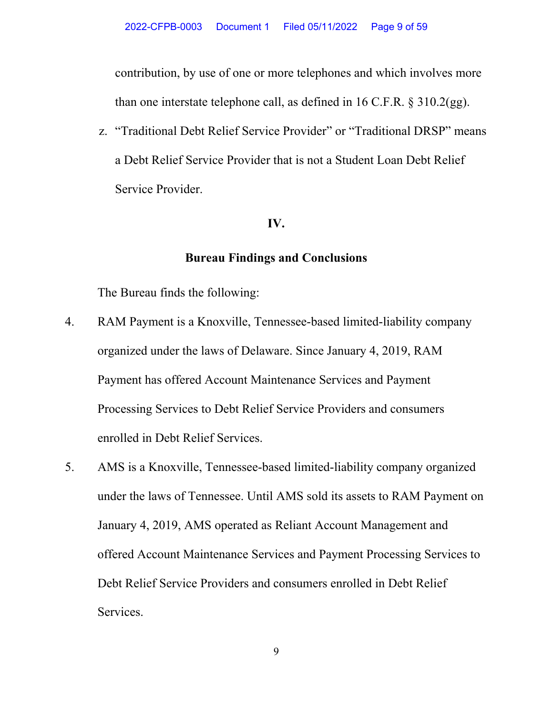contribution, by use of one or more telephones and which involves more than one interstate telephone call, as defined in 16 C.F.R. § 310.2(gg).

z. "Traditional Debt Relief Service Provider" or "Traditional DRSP" means a Debt Relief Service Provider that is not a Student Loan Debt Relief Service Provider.

### **IV.**

### **Bureau Findings and Conclusions**

The Bureau finds the following:

- 4. RAM Payment is a Knoxville, Tennessee-based limited-liability company organized under the laws of Delaware. Since January 4, 2019, RAM Payment has offered Account Maintenance Services and Payment Processing Services to Debt Relief Service Providers and consumers enrolled in Debt Relief Services.
- 5. AMS is a Knoxville, Tennessee-based limited-liability company organized under the laws of Tennessee. Until AMS sold its assets to RAM Payment on January 4, 2019, AMS operated as Reliant Account Management and offered Account Maintenance Services and Payment Processing Services to Debt Relief Service Providers and consumers enrolled in Debt Relief Services.

9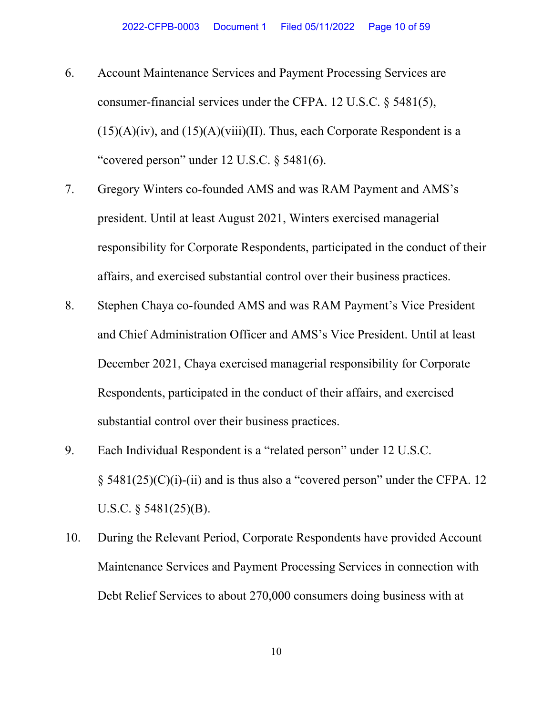- 6. Account Maintenance Services and Payment Processing Services are consumer-financial services under the CFPA. 12 U.S.C. § 5481(5),  $(15)(A)(iv)$ , and  $(15)(A)(viii)(II)$ . Thus, each Corporate Respondent is a "covered person" under  $12$  U.S.C.  $\delta$  5481(6).
- 7. Gregory Winters co-founded AMS and was RAM Payment and AMS's president. Until at least August 2021, Winters exercised managerial responsibility for Corporate Respondents, participated in the conduct of their affairs, and exercised substantial control over their business practices.
- 8. Stephen Chaya co-founded AMS and was RAM Payment's Vice President and Chief Administration Officer and AMS's Vice President. Until at least December 2021, Chaya exercised managerial responsibility for Corporate Respondents, participated in the conduct of their affairs, and exercised substantial control over their business practices.
- 9. Each Individual Respondent is a "related person" under 12 U.S.C.  $\S$  5481(25)(C)(i)-(ii) and is thus also a "covered person" under the CFPA. 12 U.S.C. § 5481(25)(B).
- 10. During the Relevant Period, Corporate Respondents have provided Account Maintenance Services and Payment Processing Services in connection with Debt Relief Services to about 270,000 consumers doing business with at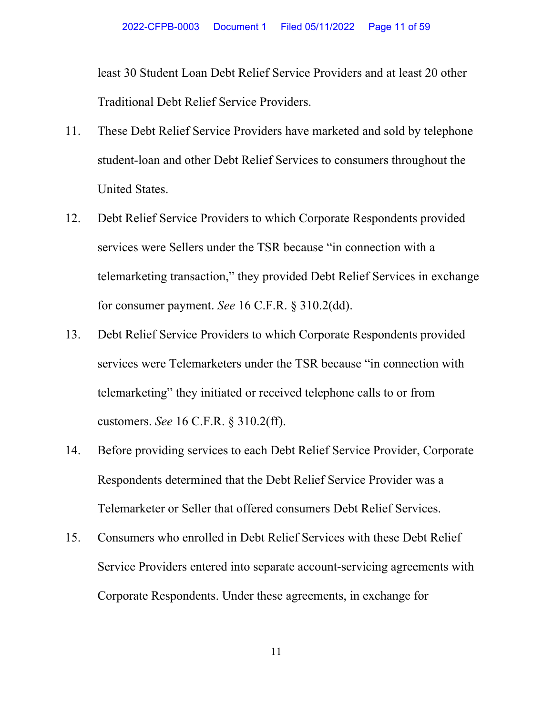least 30 Student Loan Debt Relief Service Providers and at least 20 other Traditional Debt Relief Service Providers.

- 11. These Debt Relief Service Providers have marketed and sold by telephone student-loan and other Debt Relief Services to consumers throughout the United States.
- 12. Debt Relief Service Providers to which Corporate Respondents provided services were Sellers under the TSR because "in connection with a telemarketing transaction," they provided Debt Relief Services in exchange for consumer payment. *See* 16 C.F.R. § 310.2(dd).
- 13. Debt Relief Service Providers to which Corporate Respondents provided services were Telemarketers under the TSR because "in connection with telemarketing" they initiated or received telephone calls to or from customers. *See* 16 C.F.R. § 310.2(ff).
- 14. Before providing services to each Debt Relief Service Provider, Corporate Respondents determined that the Debt Relief Service Provider was a Telemarketer or Seller that offered consumers Debt Relief Services.
- 15. Consumers who enrolled in Debt Relief Services with these Debt Relief Service Providers entered into separate account-servicing agreements with Corporate Respondents. Under these agreements, in exchange for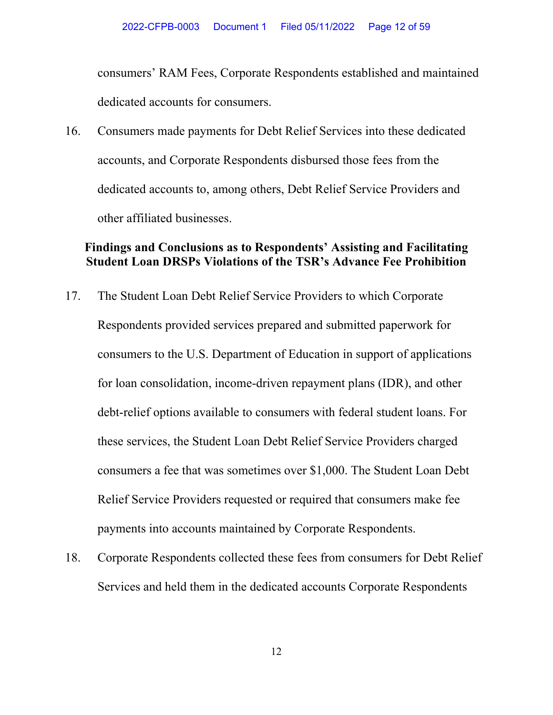consumers' RAM Fees, Corporate Respondents established and maintained dedicated accounts for consumers.

16. Consumers made payments for Debt Relief Services into these dedicated accounts, and Corporate Respondents disbursed those fees from the dedicated accounts to, among others, Debt Relief Service Providers and other affiliated businesses.

## **Findings and Conclusions as to Respondents' Assisting and Facilitating Student Loan DRSPs Violations of the TSR's Advance Fee Prohibition**

- 17. The Student Loan Debt Relief Service Providers to which Corporate Respondents provided services prepared and submitted paperwork for consumers to the U.S. Department of Education in support of applications for loan consolidation, income-driven repayment plans (IDR), and other debt-relief options available to consumers with federal student loans. For these services, the Student Loan Debt Relief Service Providers charged consumers a fee that was sometimes over \$1,000. The Student Loan Debt Relief Service Providers requested or required that consumers make fee payments into accounts maintained by Corporate Respondents.
- 18. Corporate Respondents collected these fees from consumers for Debt Relief Services and held them in the dedicated accounts Corporate Respondents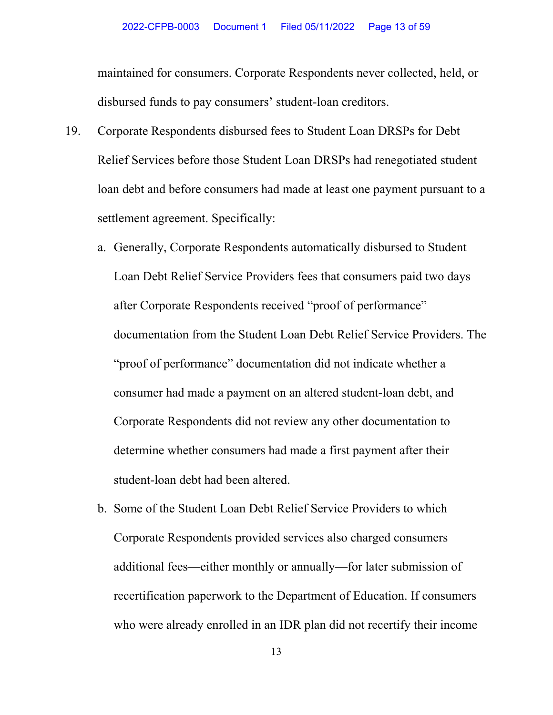maintained for consumers. Corporate Respondents never collected, held, or disbursed funds to pay consumers' student-loan creditors.

- 19. Corporate Respondents disbursed fees to Student Loan DRSPs for Debt Relief Services before those Student Loan DRSPs had renegotiated student loan debt and before consumers had made at least one payment pursuant to a settlement agreement. Specifically:
	- a. Generally, Corporate Respondents automatically disbursed to Student Loan Debt Relief Service Providers fees that consumers paid two days after Corporate Respondents received "proof of performance" documentation from the Student Loan Debt Relief Service Providers. The "proof of performance" documentation did not indicate whether a consumer had made a payment on an altered student-loan debt, and Corporate Respondents did not review any other documentation to determine whether consumers had made a first payment after their student-loan debt had been altered.
	- b. Some of the Student Loan Debt Relief Service Providers to which Corporate Respondents provided services also charged consumers additional fees—either monthly or annually—for later submission of recertification paperwork to the Department of Education. If consumers who were already enrolled in an IDR plan did not recertify their income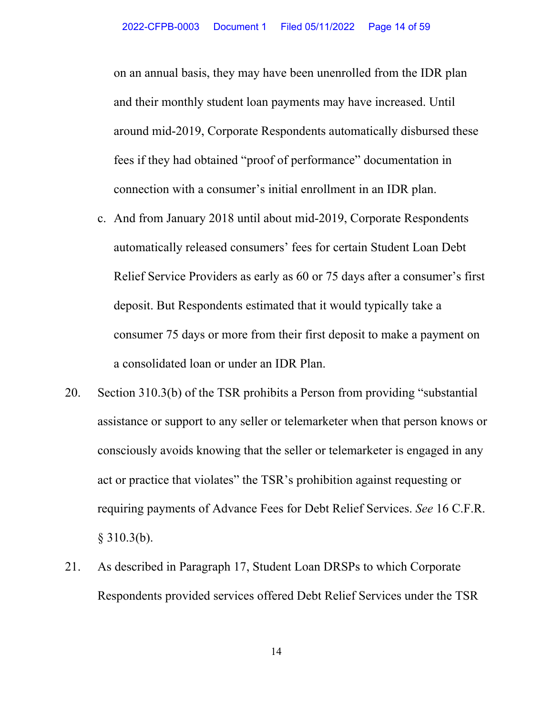on an annual basis, they may have been unenrolled from the IDR plan and their monthly student loan payments may have increased. Until around mid-2019, Corporate Respondents automatically disbursed these fees if they had obtained "proof of performance" documentation in connection with a consumer's initial enrollment in an IDR plan.

- c. And from January 2018 until about mid-2019, Corporate Respondents automatically released consumers' fees for certain Student Loan Debt Relief Service Providers as early as 60 or 75 days after a consumer's first deposit. But Respondents estimated that it would typically take a consumer 75 days or more from their first deposit to make a payment on a consolidated loan or under an IDR Plan.
- 20. Section 310.3(b) of the TSR prohibits a Person from providing "substantial assistance or support to any seller or telemarketer when that person knows or consciously avoids knowing that the seller or telemarketer is engaged in any act or practice that violates" the TSR's prohibition against requesting or requiring payments of Advance Fees for Debt Relief Services. *See* 16 C.F.R.  $$310.3(b).$
- 21. As described in Paragraph 17, Student Loan DRSPs to which Corporate Respondents provided services offered Debt Relief Services under the TSR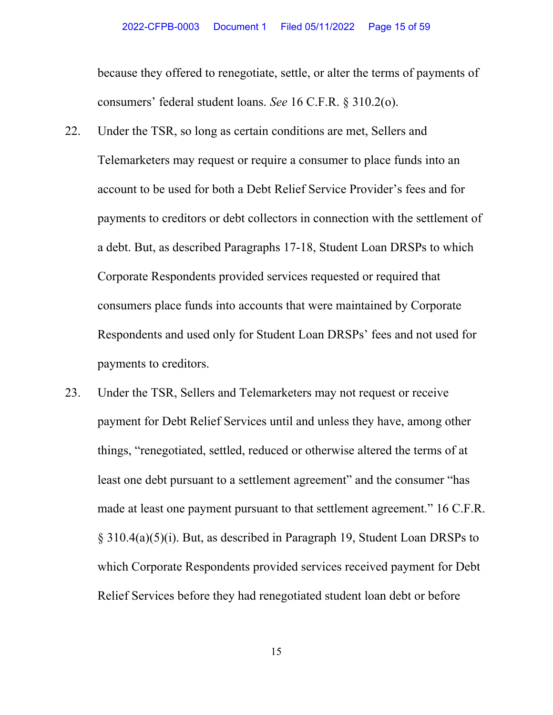because they offered to renegotiate, settle, or alter the terms of payments of consumers' federal student loans. *See* 16 C.F.R. § 310.2(o).

- 22. Under the TSR, so long as certain conditions are met, Sellers and Telemarketers may request or require a consumer to place funds into an account to be used for both a Debt Relief Service Provider's fees and for payments to creditors or debt collectors in connection with the settlement of a debt. But, as described Paragraphs 17-18, Student Loan DRSPs to which Corporate Respondents provided services requested or required that consumers place funds into accounts that were maintained by Corporate Respondents and used only for Student Loan DRSPs' fees and not used for payments to creditors.
- 23. Under the TSR, Sellers and Telemarketers may not request or receive payment for Debt Relief Services until and unless they have, among other things, "renegotiated, settled, reduced or otherwise altered the terms of at least one debt pursuant to a settlement agreement" and the consumer "has made at least one payment pursuant to that settlement agreement." 16 C.F.R. § 310.4(a)(5)(i). But, as described in Paragraph 19, Student Loan DRSPs to which Corporate Respondents provided services received payment for Debt Relief Services before they had renegotiated student loan debt or before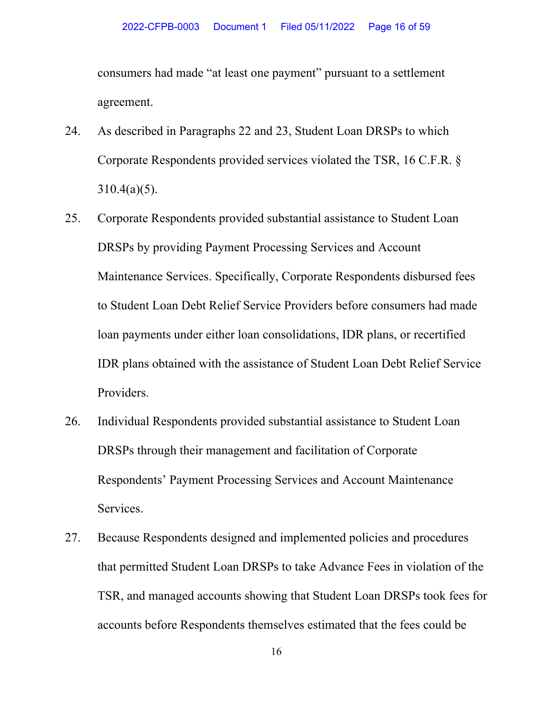consumers had made "at least one payment" pursuant to a settlement agreement.

- 24. As described in Paragraphs 22 and 23, Student Loan DRSPs to which Corporate Respondents provided services violated the TSR, 16 C.F.R. §  $310.4(a)(5)$ .
- 25. Corporate Respondents provided substantial assistance to Student Loan DRSPs by providing Payment Processing Services and Account Maintenance Services. Specifically, Corporate Respondents disbursed fees to Student Loan Debt Relief Service Providers before consumers had made loan payments under either loan consolidations, IDR plans, or recertified IDR plans obtained with the assistance of Student Loan Debt Relief Service Providers.
- 26. Individual Respondents provided substantial assistance to Student Loan DRSPs through their management and facilitation of Corporate Respondents' Payment Processing Services and Account Maintenance Services.
- 27. Because Respondents designed and implemented policies and procedures that permitted Student Loan DRSPs to take Advance Fees in violation of the TSR, and managed accounts showing that Student Loan DRSPs took fees for accounts before Respondents themselves estimated that the fees could be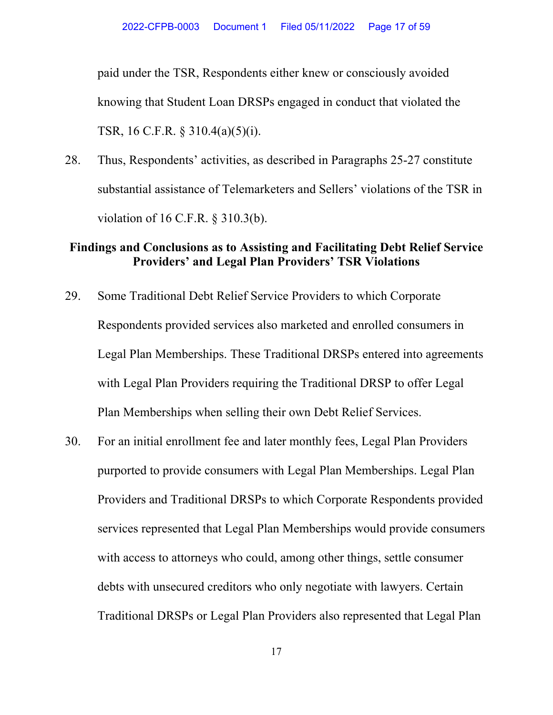paid under the TSR, Respondents either knew or consciously avoided knowing that Student Loan DRSPs engaged in conduct that violated the TSR, 16 C.F.R. § 310.4(a)(5)(i).

28. Thus, Respondents' activities, as described in Paragraphs 25-27 constitute substantial assistance of Telemarketers and Sellers' violations of the TSR in violation of 16 C.F.R. § 310.3(b).

## **Findings and Conclusions as to Assisting and Facilitating Debt Relief Service Providers' and Legal Plan Providers' TSR Violations**

- 29. Some Traditional Debt Relief Service Providers to which Corporate Respondents provided services also marketed and enrolled consumers in Legal Plan Memberships. These Traditional DRSPs entered into agreements with Legal Plan Providers requiring the Traditional DRSP to offer Legal Plan Memberships when selling their own Debt Relief Services.
- 30. For an initial enrollment fee and later monthly fees, Legal Plan Providers purported to provide consumers with Legal Plan Memberships. Legal Plan Providers and Traditional DRSPs to which Corporate Respondents provided services represented that Legal Plan Memberships would provide consumers with access to attorneys who could, among other things, settle consumer debts with unsecured creditors who only negotiate with lawyers. Certain Traditional DRSPs or Legal Plan Providers also represented that Legal Plan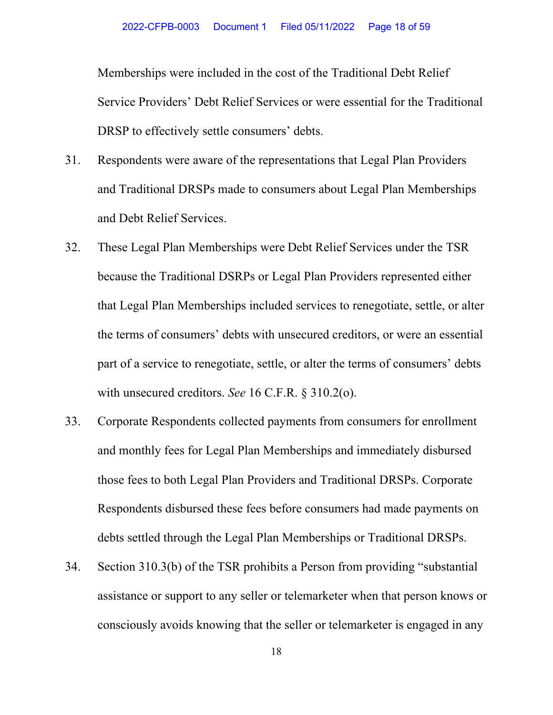Memberships were included in the cost of the Traditional Debt Relief Service Providers' Debt Relief Services or were essential for the Traditional DRSP to effectively settle consumers' debts.

- 31. Respondents were aware of the representations that Legal Plan Providers and Traditional DRSPs made to consumers about Legal Plan Memberships and Debt Relief Services.
- 32. These Legal Plan Memberships were Debt Relief Services under the TSR because the Traditional DSRPs or Legal Plan Providers represented either that Legal Plan Memberships included services to renegotiate, settle, or alter the terms of consumers' debts with unsecured creditors, or were an essential part of a service to renegotiate, settle, or alter the terms of consumers' debts with unsecured creditors. *See* 16 C.F.R. § 310.2(o).
- 33. Corporate Respondents collected payments from consumers for enrollment and monthly fees for Legal Plan Memberships and immediately disbursed those fees to both Legal Plan Providers and Traditional DRSPs. Corporate Respondents disbursed these fees before consumers had made payments on debts settled through the Legal Plan Memberships or Traditional DRSPs.
- 34. Section 310.3(b) of the TSR prohibits a Person from providing "substantial assistance or support to any seller or telemarketer when that person knows or consciously avoids knowing that the seller or telemarketer is engaged in any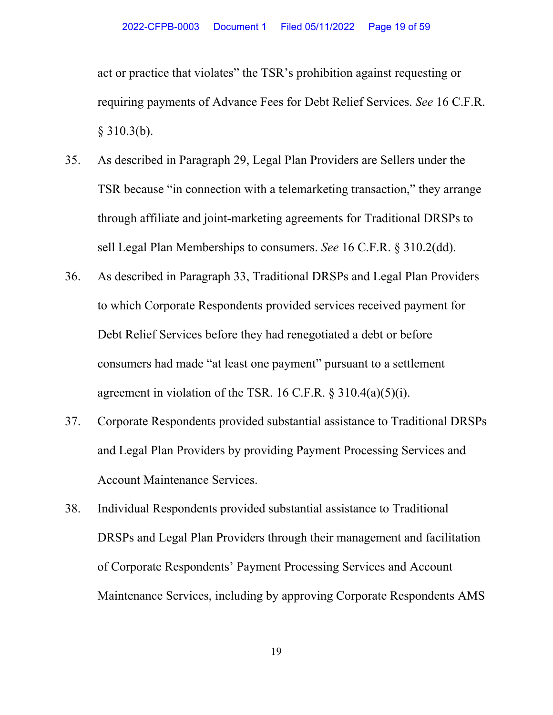act or practice that violates" the TSR's prohibition against requesting or requiring payments of Advance Fees for Debt Relief Services. *See* 16 C.F.R. § 310.3(b).

- 35. As described in Paragraph 29, Legal Plan Providers are Sellers under the TSR because "in connection with a telemarketing transaction," they arrange through affiliate and joint-marketing agreements for Traditional DRSPs to sell Legal Plan Memberships to consumers. *See* 16 C.F.R. § 310.2(dd).
- 36. As described in Paragraph 33, Traditional DRSPs and Legal Plan Providers to which Corporate Respondents provided services received payment for Debt Relief Services before they had renegotiated a debt or before consumers had made "at least one payment" pursuant to a settlement agreement in violation of the TSR. 16 C.F.R.  $\S 310.4(a)(5)(i)$ .
- 37. Corporate Respondents provided substantial assistance to Traditional DRSPs and Legal Plan Providers by providing Payment Processing Services and Account Maintenance Services.
- 38. Individual Respondents provided substantial assistance to Traditional DRSPs and Legal Plan Providers through their management and facilitation of Corporate Respondents' Payment Processing Services and Account Maintenance Services, including by approving Corporate Respondents AMS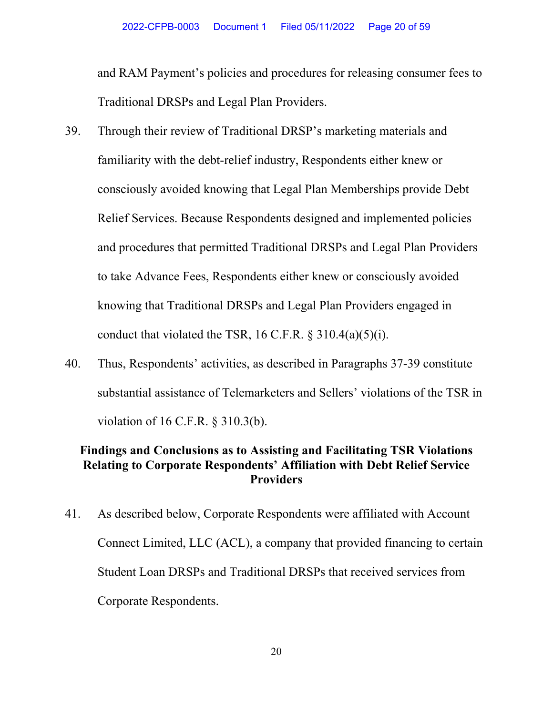and RAM Payment's policies and procedures for releasing consumer fees to Traditional DRSPs and Legal Plan Providers.

- 39. Through their review of Traditional DRSP's marketing materials and familiarity with the debt-relief industry, Respondents either knew or consciously avoided knowing that Legal Plan Memberships provide Debt Relief Services. Because Respondents designed and implemented policies and procedures that permitted Traditional DRSPs and Legal Plan Providers to take Advance Fees, Respondents either knew or consciously avoided knowing that Traditional DRSPs and Legal Plan Providers engaged in conduct that violated the TSR, 16 C.F.R.  $\S 310.4(a)(5)(i)$ .
- 40. Thus, Respondents' activities, as described in Paragraphs 37-39 constitute substantial assistance of Telemarketers and Sellers' violations of the TSR in violation of 16 C.F.R. § 310.3(b).

## **Findings and Conclusions as to Assisting and Facilitating TSR Violations Relating to Corporate Respondents' Affiliation with Debt Relief Service Providers**

41. As described below, Corporate Respondents were affiliated with Account Connect Limited, LLC (ACL), a company that provided financing to certain Student Loan DRSPs and Traditional DRSPs that received services from Corporate Respondents.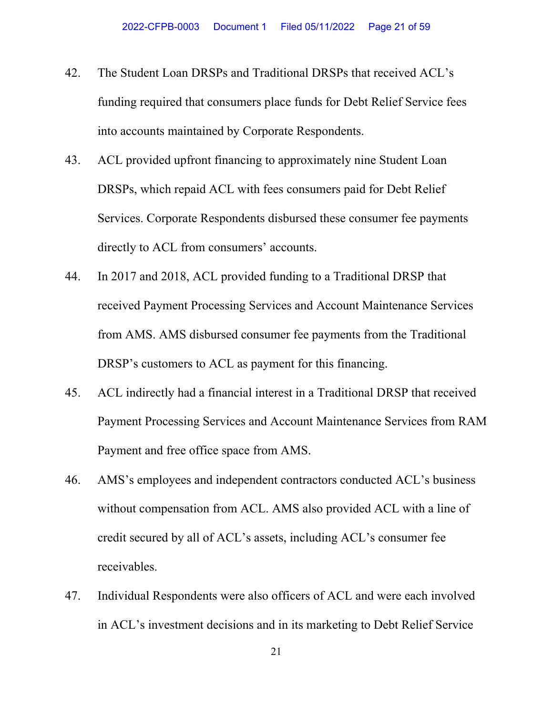- 42. The Student Loan DRSPs and Traditional DRSPs that received ACL's funding required that consumers place funds for Debt Relief Service fees into accounts maintained by Corporate Respondents.
- 43. ACL provided upfront financing to approximately nine Student Loan DRSPs, which repaid ACL with fees consumers paid for Debt Relief Services. Corporate Respondents disbursed these consumer fee payments directly to ACL from consumers' accounts.
- 44. In 2017 and 2018, ACL provided funding to a Traditional DRSP that received Payment Processing Services and Account Maintenance Services from AMS. AMS disbursed consumer fee payments from the Traditional DRSP's customers to ACL as payment for this financing.
- 45. ACL indirectly had a financial interest in a Traditional DRSP that received Payment Processing Services and Account Maintenance Services from RAM Payment and free office space from AMS.
- 46. AMS's employees and independent contractors conducted ACL's business without compensation from ACL. AMS also provided ACL with a line of credit secured by all of ACL's assets, including ACL's consumer fee receivables.
- 47. Individual Respondents were also officers of ACL and were each involved in ACL's investment decisions and in its marketing to Debt Relief Service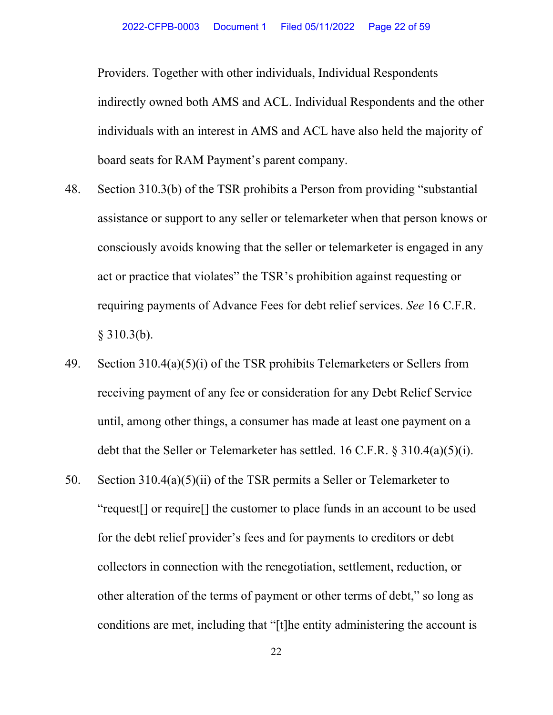Providers. Together with other individuals, Individual Respondents indirectly owned both AMS and ACL. Individual Respondents and the other individuals with an interest in AMS and ACL have also held the majority of board seats for RAM Payment's parent company.

- 48. Section 310.3(b) of the TSR prohibits a Person from providing "substantial assistance or support to any seller or telemarketer when that person knows or consciously avoids knowing that the seller or telemarketer is engaged in any act or practice that violates" the TSR's prohibition against requesting or requiring payments of Advance Fees for debt relief services. *See* 16 C.F.R. § 310.3(b).
- 49. Section 310.4(a)(5)(i) of the TSR prohibits Telemarketers or Sellers from receiving payment of any fee or consideration for any Debt Relief Service until, among other things, a consumer has made at least one payment on a debt that the Seller or Telemarketer has settled. 16 C.F.R. § 310.4(a)(5)(i).
- 50. Section 310.4(a)(5)(ii) of the TSR permits a Seller or Telemarketer to "request[] or require[] the customer to place funds in an account to be used for the debt relief provider's fees and for payments to creditors or debt collectors in connection with the renegotiation, settlement, reduction, or other alteration of the terms of payment or other terms of debt," so long as conditions are met, including that "[t]he entity administering the account is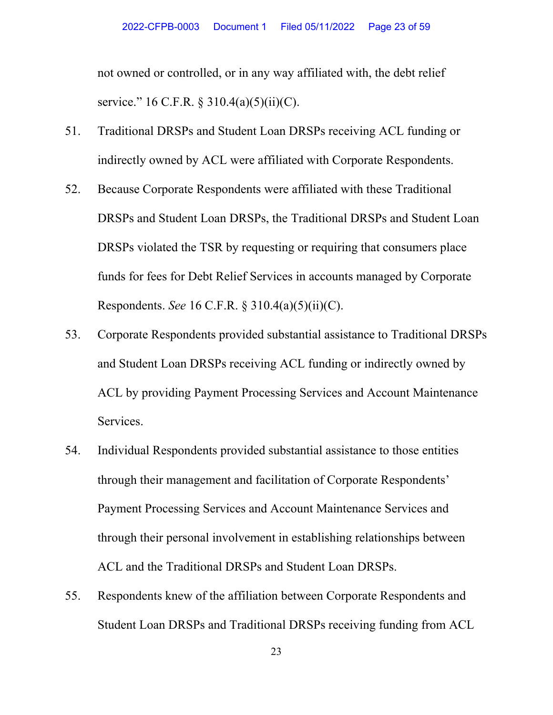not owned or controlled, or in any way affiliated with, the debt relief service." 16 C.F.R. § 310.4(a)(5)(ii)(C).

- 51. Traditional DRSPs and Student Loan DRSPs receiving ACL funding or indirectly owned by ACL were affiliated with Corporate Respondents.
- 52. Because Corporate Respondents were affiliated with these Traditional DRSPs and Student Loan DRSPs, the Traditional DRSPs and Student Loan DRSPs violated the TSR by requesting or requiring that consumers place funds for fees for Debt Relief Services in accounts managed by Corporate Respondents. *See* 16 C.F.R. § 310.4(a)(5)(ii)(C).
- 53. Corporate Respondents provided substantial assistance to Traditional DRSPs and Student Loan DRSPs receiving ACL funding or indirectly owned by ACL by providing Payment Processing Services and Account Maintenance Services.
- 54. Individual Respondents provided substantial assistance to those entities through their management and facilitation of Corporate Respondents' Payment Processing Services and Account Maintenance Services and through their personal involvement in establishing relationships between ACL and the Traditional DRSPs and Student Loan DRSPs.
- 55. Respondents knew of the affiliation between Corporate Respondents and Student Loan DRSPs and Traditional DRSPs receiving funding from ACL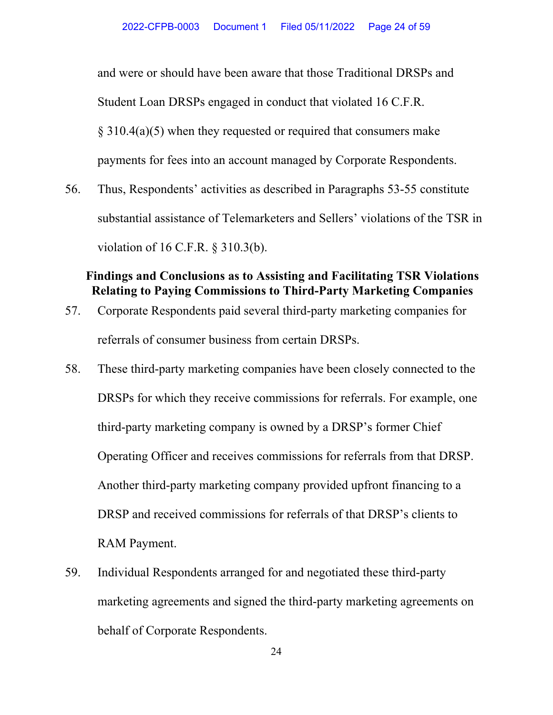and were or should have been aware that those Traditional DRSPs and Student Loan DRSPs engaged in conduct that violated 16 C.F.R. § 310.4(a)(5) when they requested or required that consumers make payments for fees into an account managed by Corporate Respondents.

56. Thus, Respondents' activities as described in Paragraphs 53-55 constitute substantial assistance of Telemarketers and Sellers' violations of the TSR in violation of 16 C.F.R. § 310.3(b).

# **Findings and Conclusions as to Assisting and Facilitating TSR Violations Relating to Paying Commissions to Third-Party Marketing Companies**

- 57. Corporate Respondents paid several third-party marketing companies for referrals of consumer business from certain DRSPs.
- 58. These third-party marketing companies have been closely connected to the DRSPs for which they receive commissions for referrals. For example, one third-party marketing company is owned by a DRSP's former Chief Operating Officer and receives commissions for referrals from that DRSP. Another third-party marketing company provided upfront financing to a DRSP and received commissions for referrals of that DRSP's clients to RAM Payment.
- 59. Individual Respondents arranged for and negotiated these third-party marketing agreements and signed the third-party marketing agreements on behalf of Corporate Respondents.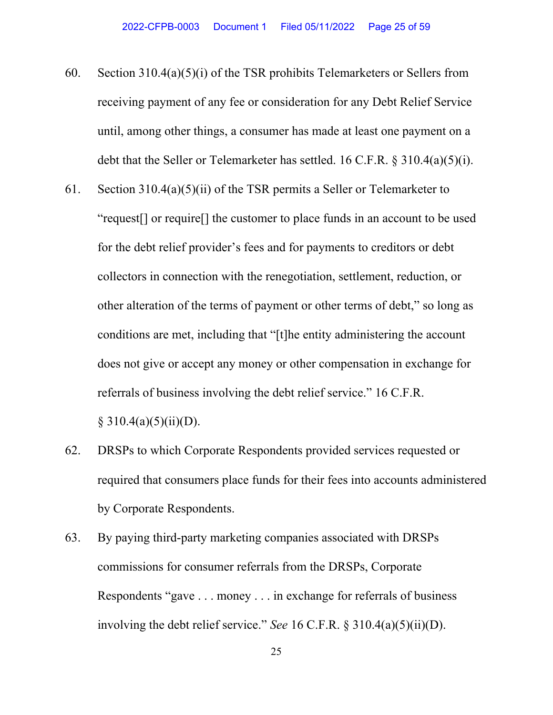- 60. Section  $310.4(a)(5)(i)$  of the TSR prohibits Telemarketers or Sellers from receiving payment of any fee or consideration for any Debt Relief Service until, among other things, a consumer has made at least one payment on a debt that the Seller or Telemarketer has settled. 16 C.F.R. § 310.4(a)(5)(i).
- 61. Section 310.4(a)(5)(ii) of the TSR permits a Seller or Telemarketer to "request[] or require[] the customer to place funds in an account to be used for the debt relief provider's fees and for payments to creditors or debt collectors in connection with the renegotiation, settlement, reduction, or other alteration of the terms of payment or other terms of debt," so long as conditions are met, including that "[t]he entity administering the account does not give or accept any money or other compensation in exchange for referrals of business involving the debt relief service." 16 C.F.R.  $§ 310.4(a)(5)(ii)(D).$
- 62. DRSPs to which Corporate Respondents provided services requested or required that consumers place funds for their fees into accounts administered by Corporate Respondents.
- 63. By paying third-party marketing companies associated with DRSPs commissions for consumer referrals from the DRSPs, Corporate Respondents "gave . . . money . . . in exchange for referrals of business involving the debt relief service." *See* 16 C.F.R. § 310.4(a)(5)(ii)(D).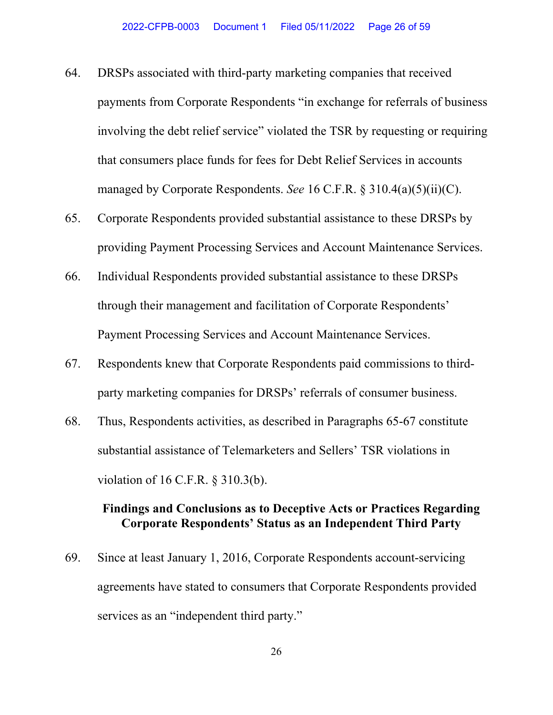- 64. DRSPs associated with third-party marketing companies that received payments from Corporate Respondents "in exchange for referrals of business involving the debt relief service" violated the TSR by requesting or requiring that consumers place funds for fees for Debt Relief Services in accounts managed by Corporate Respondents. *See* 16 C.F.R. § 310.4(a)(5)(ii)(C).
- 65. Corporate Respondents provided substantial assistance to these DRSPs by providing Payment Processing Services and Account Maintenance Services.
- 66. Individual Respondents provided substantial assistance to these DRSPs through their management and facilitation of Corporate Respondents' Payment Processing Services and Account Maintenance Services.
- 67. Respondents knew that Corporate Respondents paid commissions to thirdparty marketing companies for DRSPs' referrals of consumer business.
- 68. Thus, Respondents activities, as described in Paragraphs 65-67 constitute substantial assistance of Telemarketers and Sellers' TSR violations in violation of 16 C.F.R. § 310.3(b).

# **Findings and Conclusions as to Deceptive Acts or Practices Regarding Corporate Respondents' Status as an Independent Third Party**

69. Since at least January 1, 2016, Corporate Respondents account-servicing agreements have stated to consumers that Corporate Respondents provided services as an "independent third party."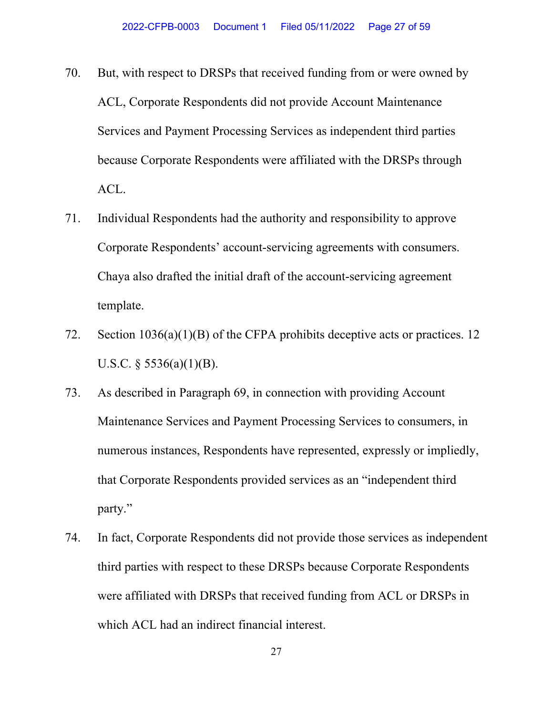- 70. But, with respect to DRSPs that received funding from or were owned by ACL, Corporate Respondents did not provide Account Maintenance Services and Payment Processing Services as independent third parties because Corporate Respondents were affiliated with the DRSPs through ACL.
- 71. Individual Respondents had the authority and responsibility to approve Corporate Respondents' account-servicing agreements with consumers. Chaya also drafted the initial draft of the account-servicing agreement template.
- 72. Section 1036(a)(1)(B) of the CFPA prohibits deceptive acts or practices. 12 U.S.C.  $\frac{5536(a)(1)(B)}{B}$ .
- 73. As described in Paragraph 69, in connection with providing Account Maintenance Services and Payment Processing Services to consumers, in numerous instances, Respondents have represented, expressly or impliedly, that Corporate Respondents provided services as an "independent third party."
- 74. In fact, Corporate Respondents did not provide those services as independent third parties with respect to these DRSPs because Corporate Respondents were affiliated with DRSPs that received funding from ACL or DRSPs in which ACL had an indirect financial interest.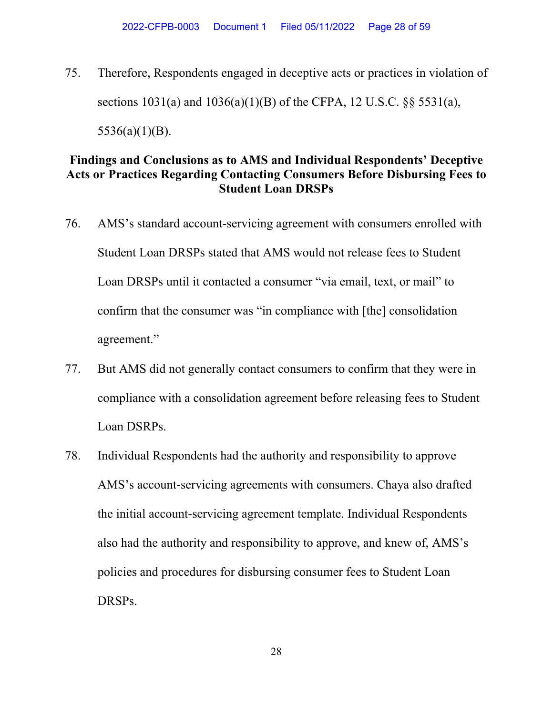75. Therefore, Respondents engaged in deceptive acts or practices in violation of sections 1031(a) and 1036(a)(1)(B) of the CFPA, 12 U.S.C. §§ 5531(a), 5536(a)(1)(B).

# **Findings and Conclusions as to AMS and Individual Respondents' Deceptive Acts or Practices Regarding Contacting Consumers Before Disbursing Fees to Student Loan DRSPs**

- 76. AMS's standard account-servicing agreement with consumers enrolled with Student Loan DRSPs stated that AMS would not release fees to Student Loan DRSPs until it contacted a consumer "via email, text, or mail" to confirm that the consumer was "in compliance with [the] consolidation agreement."
- 77. But AMS did not generally contact consumers to confirm that they were in compliance with a consolidation agreement before releasing fees to Student Loan DSRPs.
- 78. Individual Respondents had the authority and responsibility to approve AMS's account-servicing agreements with consumers. Chaya also drafted the initial account-servicing agreement template. Individual Respondents also had the authority and responsibility to approve, and knew of, AMS's policies and procedures for disbursing consumer fees to Student Loan DRSPs.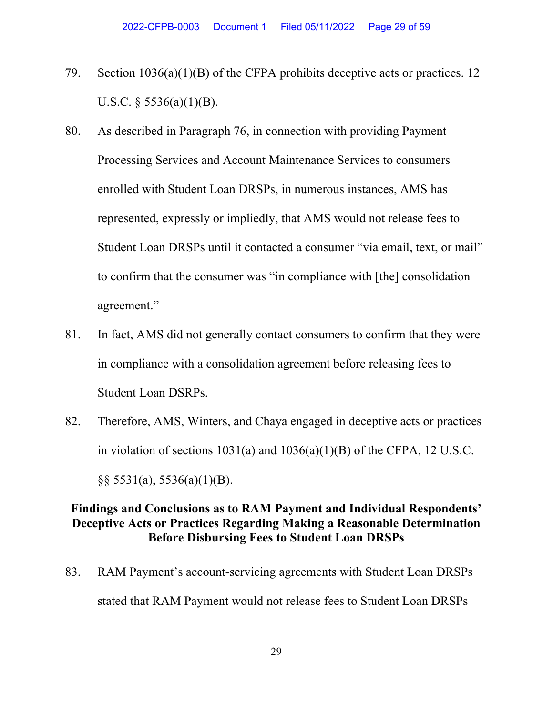- 79. Section 1036(a)(1)(B) of the CFPA prohibits deceptive acts or practices. 12 U.S.C.  $\S$  5536(a)(1)(B).
- 80. As described in Paragraph 76, in connection with providing Payment Processing Services and Account Maintenance Services to consumers enrolled with Student Loan DRSPs, in numerous instances, AMS has represented, expressly or impliedly, that AMS would not release fees to Student Loan DRSPs until it contacted a consumer "via email, text, or mail" to confirm that the consumer was "in compliance with [the] consolidation agreement."
- 81. In fact, AMS did not generally contact consumers to confirm that they were in compliance with a consolidation agreement before releasing fees to Student Loan DSRPs.
- 82. Therefore, AMS, Winters, and Chaya engaged in deceptive acts or practices in violation of sections  $1031(a)$  and  $1036(a)(1)(B)$  of the CFPA, 12 U.S.C.  $\S$ § 5531(a), 5536(a)(1)(B).

# **Findings and Conclusions as to RAM Payment and Individual Respondents' Deceptive Acts or Practices Regarding Making a Reasonable Determination Before Disbursing Fees to Student Loan DRSPs**

83. RAM Payment's account-servicing agreements with Student Loan DRSPs stated that RAM Payment would not release fees to Student Loan DRSPs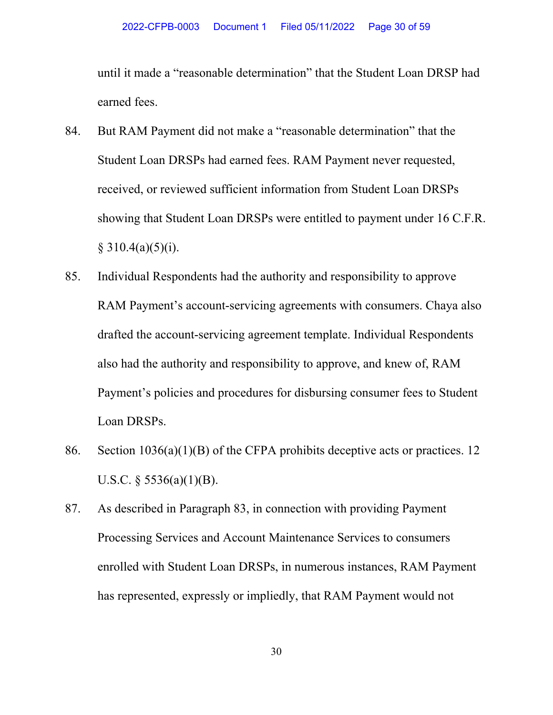until it made a "reasonable determination" that the Student Loan DRSP had earned fees.

- 84. But RAM Payment did not make a "reasonable determination" that the Student Loan DRSPs had earned fees. RAM Payment never requested, received, or reviewed sufficient information from Student Loan DRSPs showing that Student Loan DRSPs were entitled to payment under 16 C.F.R.  $§ 310.4(a)(5)(i).$
- 85. Individual Respondents had the authority and responsibility to approve RAM Payment's account-servicing agreements with consumers. Chaya also drafted the account-servicing agreement template. Individual Respondents also had the authority and responsibility to approve, and knew of, RAM Payment's policies and procedures for disbursing consumer fees to Student Loan DRSPs.
- 86. Section 1036(a)(1)(B) of the CFPA prohibits deceptive acts or practices. 12 U.S.C.  $\S$  5536(a)(1)(B).
- 87. As described in Paragraph 83, in connection with providing Payment Processing Services and Account Maintenance Services to consumers enrolled with Student Loan DRSPs, in numerous instances, RAM Payment has represented, expressly or impliedly, that RAM Payment would not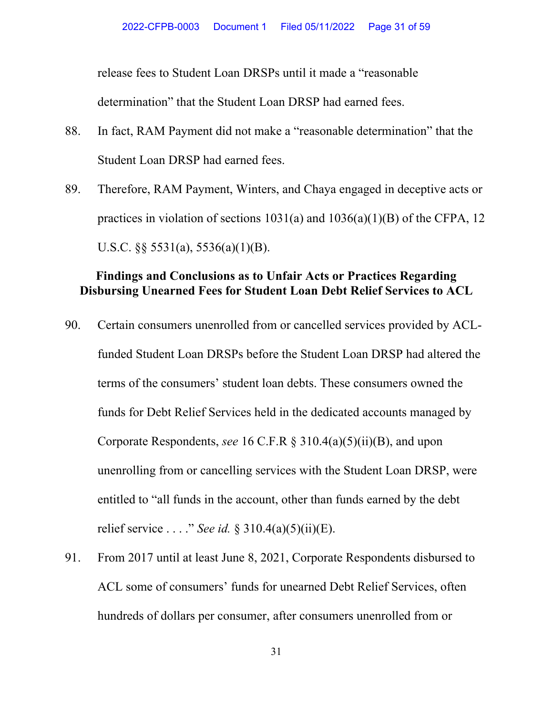release fees to Student Loan DRSPs until it made a "reasonable

determination" that the Student Loan DRSP had earned fees.

- 88. In fact, RAM Payment did not make a "reasonable determination" that the Student Loan DRSP had earned fees.
- 89. Therefore, RAM Payment, Winters, and Chaya engaged in deceptive acts or practices in violation of sections  $1031(a)$  and  $1036(a)(1)(B)$  of the CFPA, 12 U.S.C. §§ 5531(a), 5536(a)(1)(B).

## **Findings and Conclusions as to Unfair Acts or Practices Regarding Disbursing Unearned Fees for Student Loan Debt Relief Services to ACL**

- 90. Certain consumers unenrolled from or cancelled services provided by ACLfunded Student Loan DRSPs before the Student Loan DRSP had altered the terms of the consumers' student loan debts. These consumers owned the funds for Debt Relief Services held in the dedicated accounts managed by Corporate Respondents, *see* 16 C.F.R § 310.4(a)(5)(ii)(B), and upon unenrolling from or cancelling services with the Student Loan DRSP, were entitled to "all funds in the account, other than funds earned by the debt relief service . . . ." *See id.* § 310.4(a)(5)(ii)(E).
- 91. From 2017 until at least June 8, 2021, Corporate Respondents disbursed to ACL some of consumers' funds for unearned Debt Relief Services, often hundreds of dollars per consumer, after consumers unenrolled from or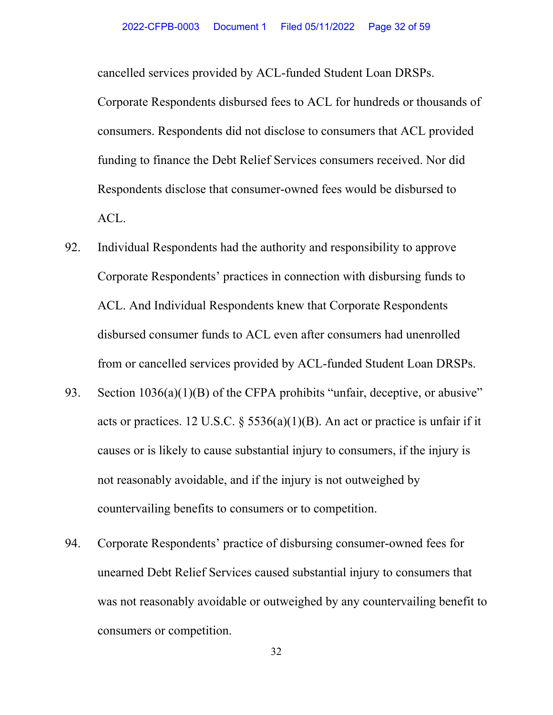cancelled services provided by ACL-funded Student Loan DRSPs.

Corporate Respondents disbursed fees to ACL for hundreds or thousands of consumers. Respondents did not disclose to consumers that ACL provided funding to finance the Debt Relief Services consumers received. Nor did Respondents disclose that consumer-owned fees would be disbursed to ACL.

- 92. Individual Respondents had the authority and responsibility to approve Corporate Respondents' practices in connection with disbursing funds to ACL. And Individual Respondents knew that Corporate Respondents disbursed consumer funds to ACL even after consumers had unenrolled from or cancelled services provided by ACL-funded Student Loan DRSPs.
- 93. Section  $1036(a)(1)(B)$  of the CFPA prohibits "unfair, deceptive, or abusive" acts or practices. 12 U.S.C.  $\S 5536(a)(1)(B)$ . An act or practice is unfair if it causes or is likely to cause substantial injury to consumers, if the injury is not reasonably avoidable, and if the injury is not outweighed by countervailing benefits to consumers or to competition.
- 94. Corporate Respondents' practice of disbursing consumer-owned fees for unearned Debt Relief Services caused substantial injury to consumers that was not reasonably avoidable or outweighed by any countervailing benefit to consumers or competition.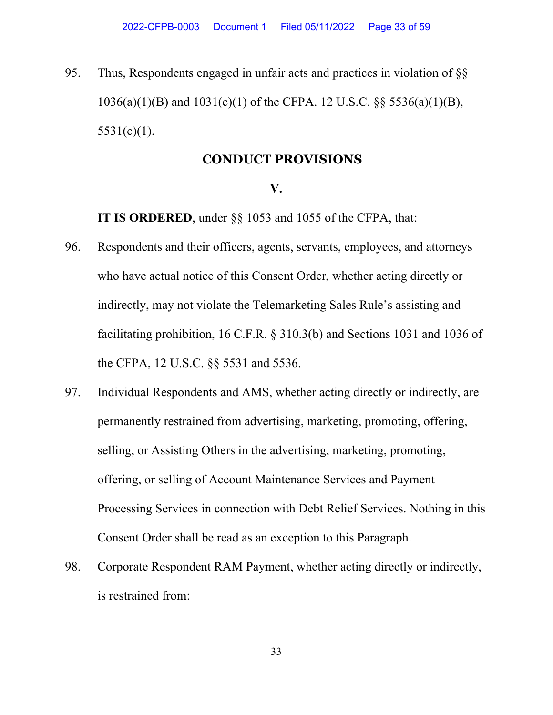95. Thus, Respondents engaged in unfair acts and practices in violation of §§ 1036(a)(1)(B) and 1031(c)(1) of the CFPA. 12 U.S.C. §§ 5536(a)(1)(B),  $5531(c)(1)$ .

### **CONDUCT PROVISIONS**

#### **V.**

 **IT IS ORDERED**, under §§ 1053 and 1055 of the CFPA, that:

- 96. Respondents and their officers, agents, servants, employees, and attorneys who have actual notice of this Consent Order*,* whether acting directly or indirectly, may not violate the Telemarketing Sales Rule's assisting and facilitating prohibition, 16 C.F.R. § 310.3(b) and Sections 1031 and 1036 of the CFPA, 12 U.S.C. §§ 5531 and 5536.
- 97. Individual Respondents and AMS, whether acting directly or indirectly, are permanently restrained from advertising, marketing, promoting, offering, selling, or Assisting Others in the advertising, marketing, promoting, offering, or selling of Account Maintenance Services and Payment Processing Services in connection with Debt Relief Services. Nothing in this Consent Order shall be read as an exception to this Paragraph.
- 98. Corporate Respondent RAM Payment, whether acting directly or indirectly, is restrained from: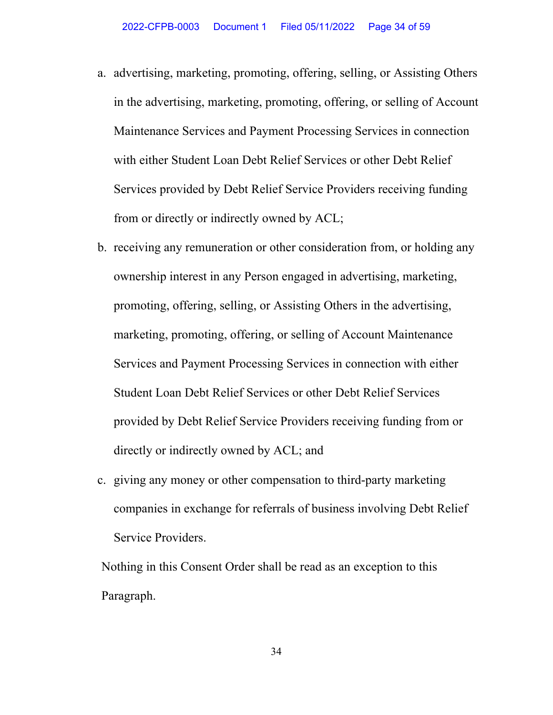- a. advertising, marketing, promoting, offering, selling, or Assisting Others in the advertising, marketing, promoting, offering, or selling of Account Maintenance Services and Payment Processing Services in connection with either Student Loan Debt Relief Services or other Debt Relief Services provided by Debt Relief Service Providers receiving funding from or directly or indirectly owned by ACL;
- b. receiving any remuneration or other consideration from, or holding any ownership interest in any Person engaged in advertising, marketing, promoting, offering, selling, or Assisting Others in the advertising, marketing, promoting, offering, or selling of Account Maintenance Services and Payment Processing Services in connection with either Student Loan Debt Relief Services or other Debt Relief Services provided by Debt Relief Service Providers receiving funding from or directly or indirectly owned by ACL; and
- c. giving any money or other compensation to third-party marketing companies in exchange for referrals of business involving Debt Relief Service Providers.

Nothing in this Consent Order shall be read as an exception to this Paragraph.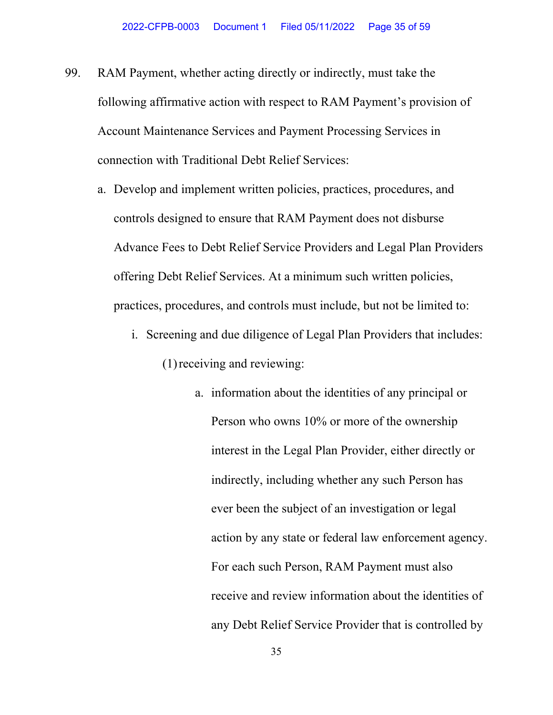- 99. RAM Payment, whether acting directly or indirectly, must take the following affirmative action with respect to RAM Payment's provision of Account Maintenance Services and Payment Processing Services in connection with Traditional Debt Relief Services:
	- a. Develop and implement written policies, practices, procedures, and controls designed to ensure that RAM Payment does not disburse Advance Fees to Debt Relief Service Providers and Legal Plan Providers offering Debt Relief Services. At a minimum such written policies, practices, procedures, and controls must include, but not be limited to:
		- i. Screening and due diligence of Legal Plan Providers that includes: (1)receiving and reviewing:
			- a. information about the identities of any principal or Person who owns 10% or more of the ownership interest in the Legal Plan Provider, either directly or indirectly, including whether any such Person has ever been the subject of an investigation or legal action by any state or federal law enforcement agency. For each such Person, RAM Payment must also receive and review information about the identities of any Debt Relief Service Provider that is controlled by

35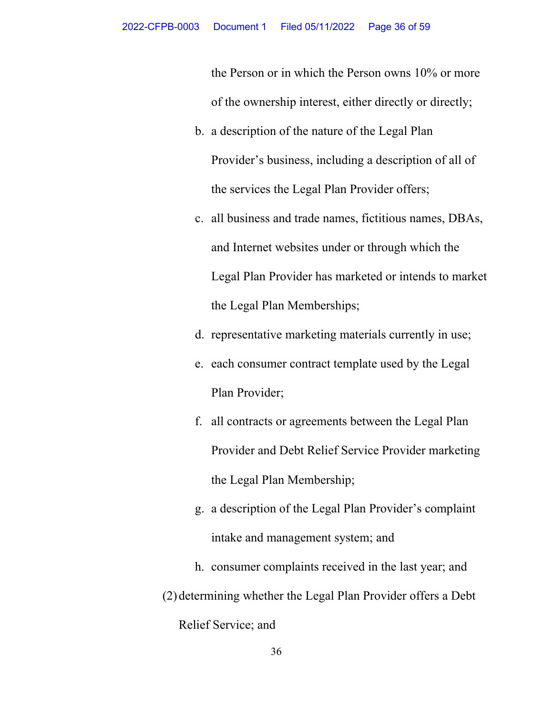the Person or in which the Person owns 10% or more of the ownership interest, either directly or directly;

- b. a description of the nature of the Legal Plan Provider's business, including a description of all of the services the Legal Plan Provider offers;
- c. all business and trade names, fictitious names, DBAs, and Internet websites under or through which the Legal Plan Provider has marketed or intends to market the Legal Plan Memberships;
- d. representative marketing materials currently in use;
- e. each consumer contract template used by the Legal Plan Provider;
- f. all contracts or agreements between the Legal Plan Provider and Debt Relief Service Provider marketing the Legal Plan Membership;
- g. a description of the Legal Plan Provider's complaint intake and management system; and
- h. consumer complaints received in the last year; and (2)determining whether the Legal Plan Provider offers a Debt Relief Service; and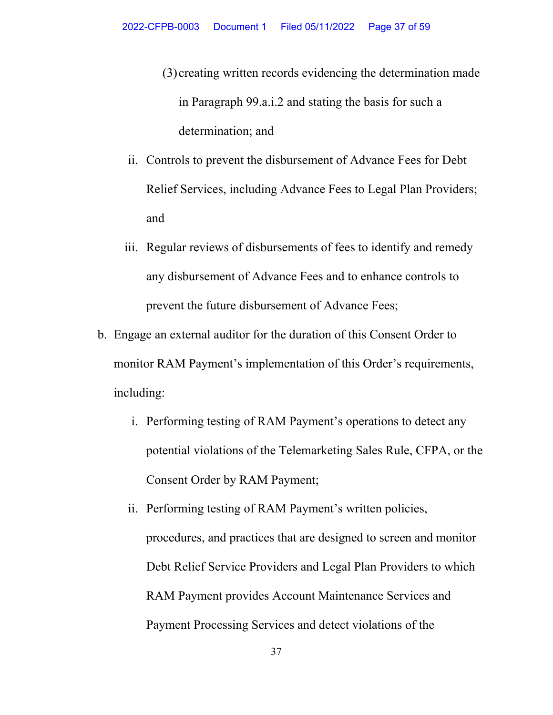- (3) creating written records evidencing the determination made in Paragraph 99.a.i.2 and stating the basis for such a determination; and
- ii. Controls to prevent the disbursement of Advance Fees for Debt Relief Services, including Advance Fees to Legal Plan Providers; and
- iii. Regular reviews of disbursements of fees to identify and remedy any disbursement of Advance Fees and to enhance controls to prevent the future disbursement of Advance Fees;
- b. Engage an external auditor for the duration of this Consent Order to monitor RAM Payment's implementation of this Order's requirements, including:
	- i. Performing testing of RAM Payment's operations to detect any potential violations of the Telemarketing Sales Rule, CFPA, or the Consent Order by RAM Payment;
	- ii. Performing testing of RAM Payment's written policies, procedures, and practices that are designed to screen and monitor Debt Relief Service Providers and Legal Plan Providers to which RAM Payment provides Account Maintenance Services and Payment Processing Services and detect violations of the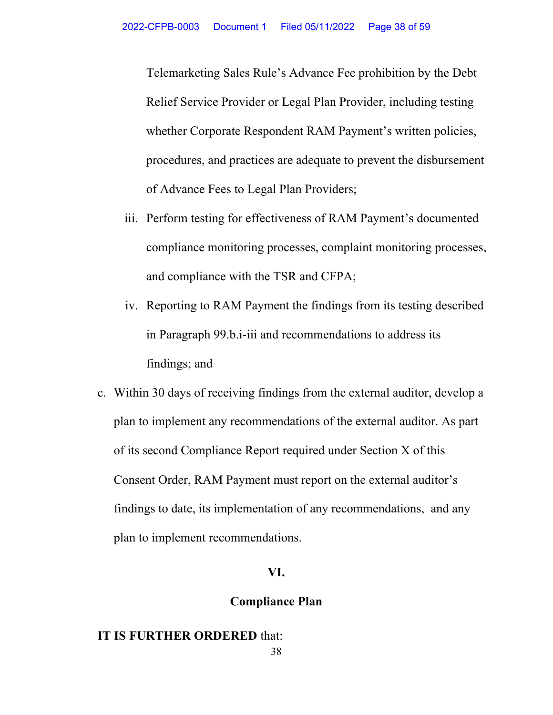Telemarketing Sales Rule's Advance Fee prohibition by the Debt Relief Service Provider or Legal Plan Provider, including testing whether Corporate Respondent RAM Payment's written policies, procedures, and practices are adequate to prevent the disbursement of Advance Fees to Legal Plan Providers;

- iii. Perform testing for effectiveness of RAM Payment's documented compliance monitoring processes, complaint monitoring processes, and compliance with the TSR and CFPA;
- iv. Reporting to RAM Payment the findings from its testing described in Paragraph 99.b.i-iii and recommendations to address its findings; and
- c. Within 30 days of receiving findings from the external auditor, develop a plan to implement any recommendations of the external auditor. As part of its second Compliance Report required under Section X of this Consent Order, RAM Payment must report on the external auditor's findings to date, its implementation of any recommendations, and any plan to implement recommendations.

### **VI.**

### **Compliance Plan**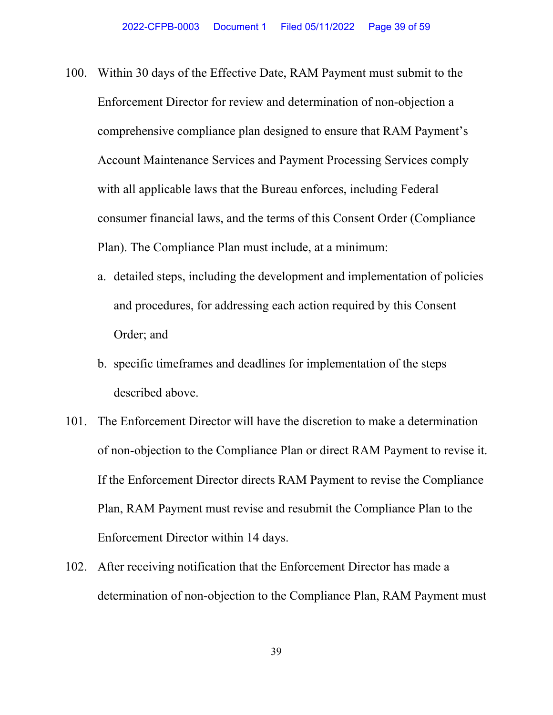- 100. Within 30 days of the Effective Date, RAM Payment must submit to the Enforcement Director for review and determination of non-objection a comprehensive compliance plan designed to ensure that RAM Payment's Account Maintenance Services and Payment Processing Services comply with all applicable laws that the Bureau enforces, including Federal consumer financial laws, and the terms of this Consent Order (Compliance Plan). The Compliance Plan must include, at a minimum:
	- a. detailed steps, including the development and implementation of policies and procedures, for addressing each action required by this Consent Order; and
	- b. specific timeframes and deadlines for implementation of the steps described above.
- 101. The Enforcement Director will have the discretion to make a determination of non-objection to the Compliance Plan or direct RAM Payment to revise it. If the Enforcement Director directs RAM Payment to revise the Compliance Plan, RAM Payment must revise and resubmit the Compliance Plan to the Enforcement Director within 14 days.
- 102. After receiving notification that the Enforcement Director has made a determination of non-objection to the Compliance Plan, RAM Payment must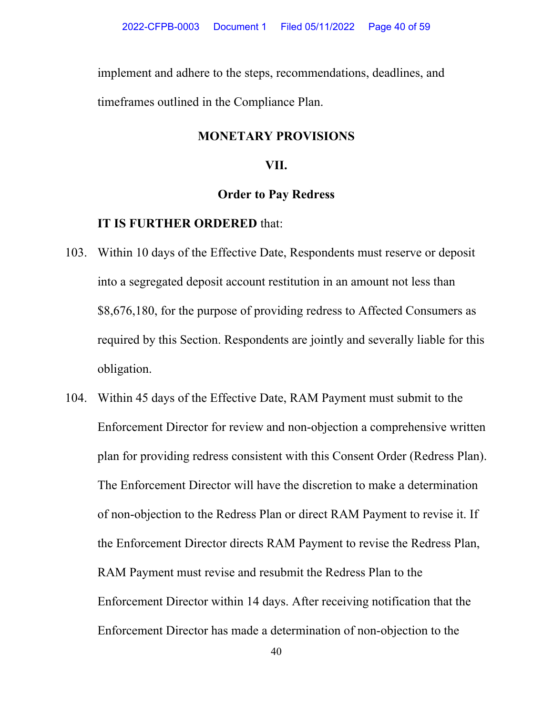implement and adhere to the steps, recommendations, deadlines, and timeframes outlined in the Compliance Plan.

# **MONETARY PROVISIONS**

### **VII.**

### **Order to Pay Redress**

- 103. Within 10 days of the Effective Date, Respondents must reserve or deposit into a segregated deposit account restitution in an amount not less than \$8,676,180, for the purpose of providing redress to Affected Consumers as required by this Section. Respondents are jointly and severally liable for this obligation.
- 104. Within 45 days of the Effective Date, RAM Payment must submit to the Enforcement Director for review and non-objection a comprehensive written plan for providing redress consistent with this Consent Order (Redress Plan). The Enforcement Director will have the discretion to make a determination of non-objection to the Redress Plan or direct RAM Payment to revise it. If the Enforcement Director directs RAM Payment to revise the Redress Plan, RAM Payment must revise and resubmit the Redress Plan to the Enforcement Director within 14 days. After receiving notification that the Enforcement Director has made a determination of non-objection to the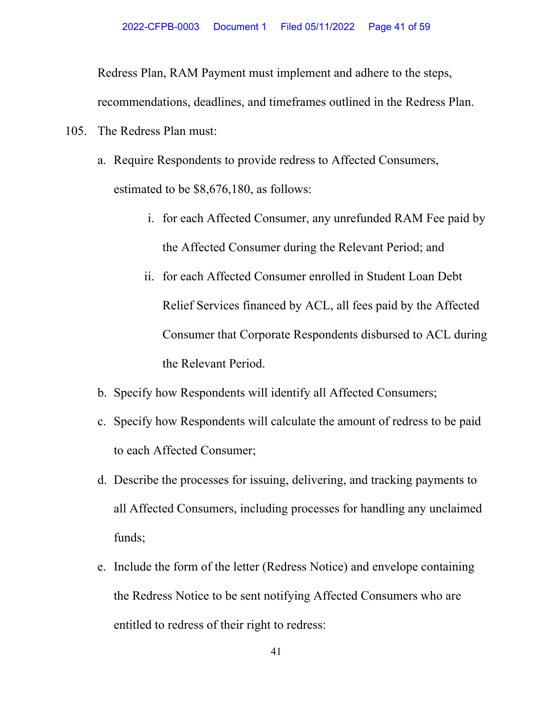Redress Plan, RAM Payment must implement and adhere to the steps,

recommendations, deadlines, and timeframes outlined in the Redress Plan.

105. The Redress Plan must:

- a. Require Respondents to provide redress to Affected Consumers, estimated to be \$8,676,180, as follows:
	- i. for each Affected Consumer, any unrefunded RAM Fee paid by the Affected Consumer during the Relevant Period; and
	- ii. for each Affected Consumer enrolled in Student Loan Debt Relief Services financed by ACL, all fees paid by the Affected Consumer that Corporate Respondents disbursed to ACL during the Relevant Period.
- b. Specify how Respondents will identify all Affected Consumers;
- c. Specify how Respondents will calculate the amount of redress to be paid to each Affected Consumer;
- d. Describe the processes for issuing, delivering, and tracking payments to all Affected Consumers, including processes for handling any unclaimed funds;
- e. Include the form of the letter (Redress Notice) and envelope containing the Redress Notice to be sent notifying Affected Consumers who are entitled to redress of their right to redress: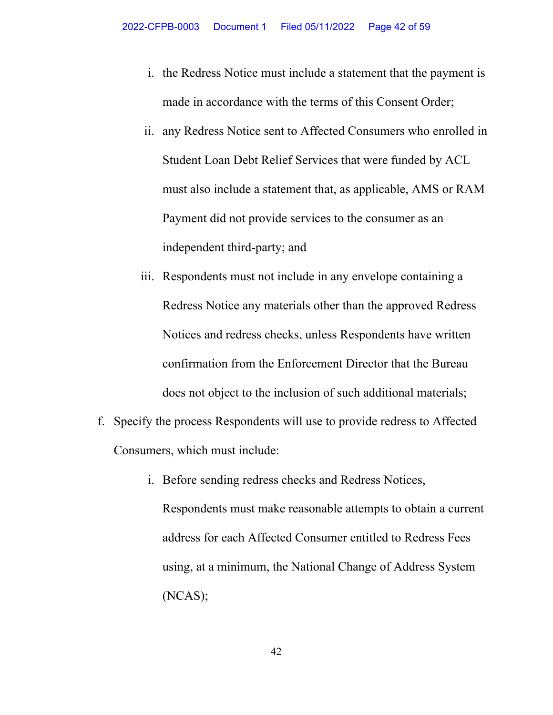- i. the Redress Notice must include a statement that the payment is made in accordance with the terms of this Consent Order;
- ii. any Redress Notice sent to Affected Consumers who enrolled in Student Loan Debt Relief Services that were funded by ACL must also include a statement that, as applicable, AMS or RAM Payment did not provide services to the consumer as an independent third-party; and
- iii. Respondents must not include in any envelope containing a Redress Notice any materials other than the approved Redress Notices and redress checks, unless Respondents have written confirmation from the Enforcement Director that the Bureau does not object to the inclusion of such additional materials;
- f. Specify the process Respondents will use to provide redress to Affected Consumers, which must include:
	- i. Before sending redress checks and Redress Notices, Respondents must make reasonable attempts to obtain a current address for each Affected Consumer entitled to Redress Fees using, at a minimum, the National Change of Address System (NCAS);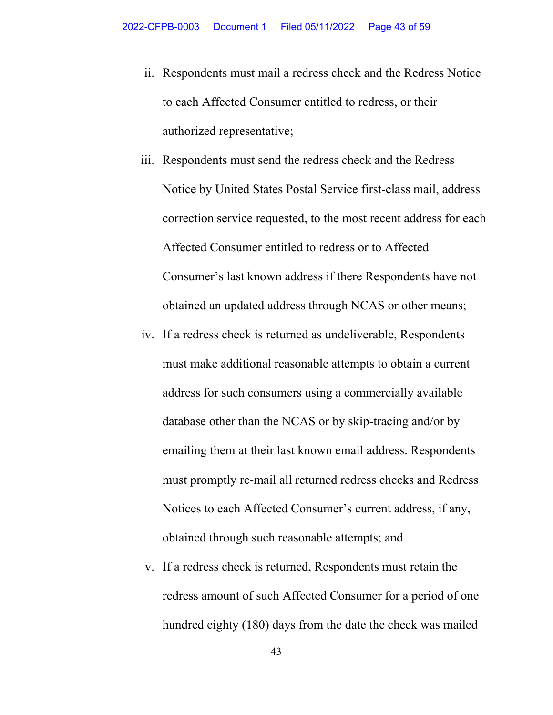- ii. Respondents must mail a redress check and the Redress Notice to each Affected Consumer entitled to redress, or their authorized representative;
- iii. Respondents must send the redress check and the Redress Notice by United States Postal Service first-class mail, address correction service requested, to the most recent address for each Affected Consumer entitled to redress or to Affected Consumer's last known address if there Respondents have not obtained an updated address through NCAS or other means;
- iv. If a redress check is returned as undeliverable, Respondents must make additional reasonable attempts to obtain a current address for such consumers using a commercially available database other than the NCAS or by skip-tracing and/or by emailing them at their last known email address. Respondents must promptly re-mail all returned redress checks and Redress Notices to each Affected Consumer's current address, if any, obtained through such reasonable attempts; and
- v. If a redress check is returned, Respondents must retain the redress amount of such Affected Consumer for a period of one hundred eighty (180) days from the date the check was mailed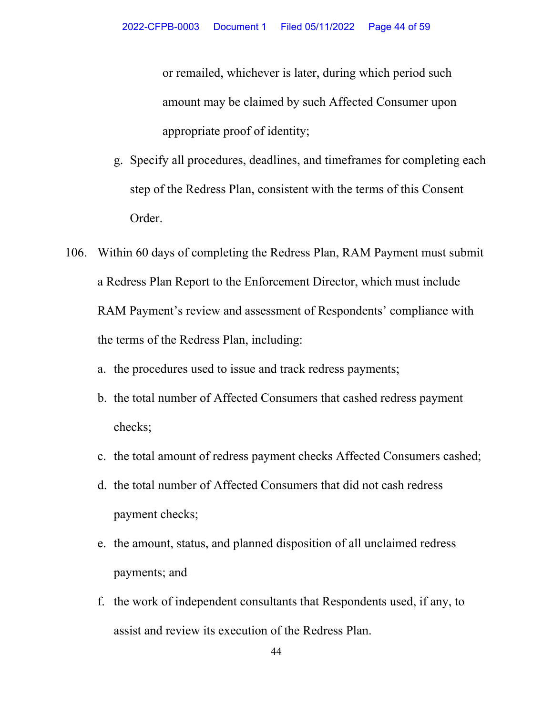or remailed, whichever is later, during which period such amount may be claimed by such Affected Consumer upon appropriate proof of identity;

- g. Specify all procedures, deadlines, and timeframes for completing each step of the Redress Plan, consistent with the terms of this Consent Order.
- 106. Within 60 days of completing the Redress Plan, RAM Payment must submit a Redress Plan Report to the Enforcement Director, which must include RAM Payment's review and assessment of Respondents' compliance with the terms of the Redress Plan, including:
	- a. the procedures used to issue and track redress payments;
	- b. the total number of Affected Consumers that cashed redress payment checks;
	- c. the total amount of redress payment checks Affected Consumers cashed;
	- d. the total number of Affected Consumers that did not cash redress payment checks;
	- e. the amount, status, and planned disposition of all unclaimed redress payments; and
	- f. the work of independent consultants that Respondents used, if any, to assist and review its execution of the Redress Plan.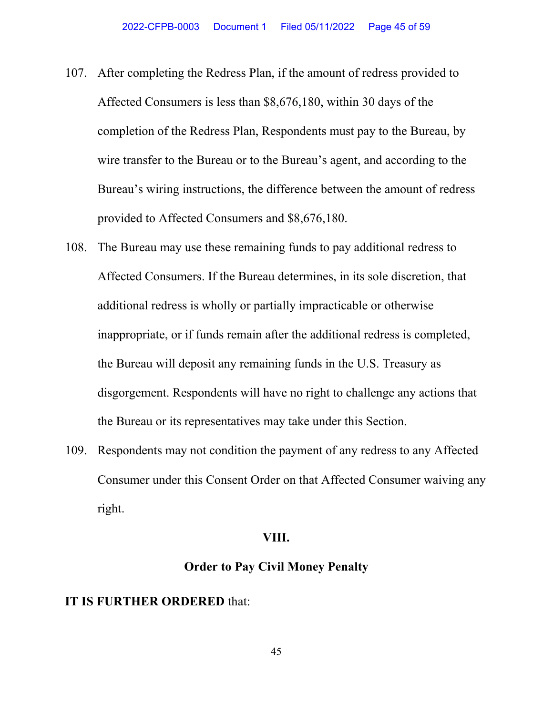- 107. After completing the Redress Plan, if the amount of redress provided to Affected Consumers is less than \$8,676,180, within 30 days of the completion of the Redress Plan, Respondents must pay to the Bureau, by wire transfer to the Bureau or to the Bureau's agent, and according to the Bureau's wiring instructions, the difference between the amount of redress provided to Affected Consumers and \$8,676,180.
- 108. The Bureau may use these remaining funds to pay additional redress to Affected Consumers. If the Bureau determines, in its sole discretion, that additional redress is wholly or partially impracticable or otherwise inappropriate, or if funds remain after the additional redress is completed, the Bureau will deposit any remaining funds in the U.S. Treasury as disgorgement. Respondents will have no right to challenge any actions that the Bureau or its representatives may take under this Section.
- 109. Respondents may not condition the payment of any redress to any Affected Consumer under this Consent Order on that Affected Consumer waiving any right.

### **VIII.**

## **Order to Pay Civil Money Penalty**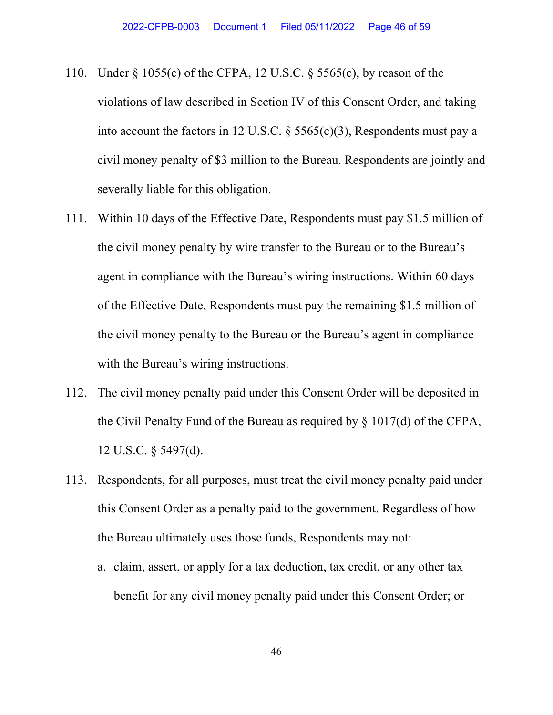- 110. Under § 1055(c) of the CFPA, 12 U.S.C. § 5565(c), by reason of the violations of law described in Section IV of this Consent Order, and taking into account the factors in 12 U.S.C. § 5565(c)(3), Respondents must pay a civil money penalty of \$3 million to the Bureau. Respondents are jointly and severally liable for this obligation.
- 111. Within 10 days of the Effective Date, Respondents must pay \$1.5 million of the civil money penalty by wire transfer to the Bureau or to the Bureau's agent in compliance with the Bureau's wiring instructions. Within 60 days of the Effective Date, Respondents must pay the remaining \$1.5 million of the civil money penalty to the Bureau or the Bureau's agent in compliance with the Bureau's wiring instructions.
- 112. The civil money penalty paid under this Consent Order will be deposited in the Civil Penalty Fund of the Bureau as required by § 1017(d) of the CFPA, 12 U.S.C. § 5497(d).
- 113. Respondents, for all purposes, must treat the civil money penalty paid under this Consent Order as a penalty paid to the government. Regardless of how the Bureau ultimately uses those funds, Respondents may not:
	- a. claim, assert, or apply for a tax deduction, tax credit, or any other tax benefit for any civil money penalty paid under this Consent Order; or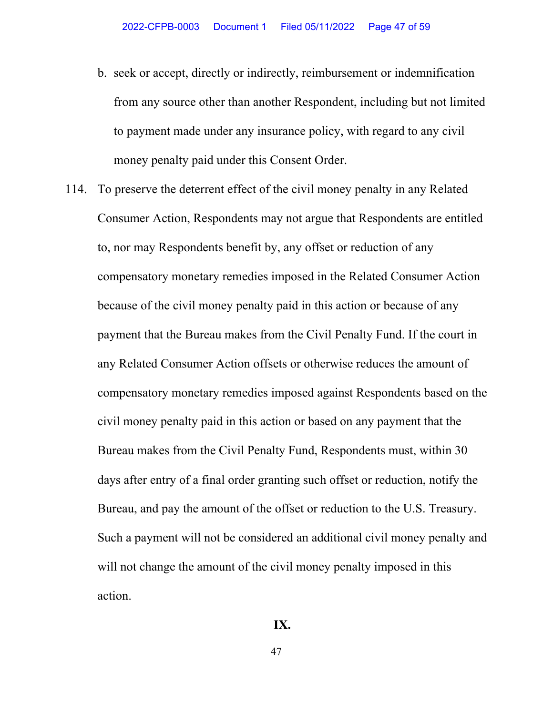- b. seek or accept, directly or indirectly, reimbursement or indemnification from any source other than another Respondent, including but not limited to payment made under any insurance policy, with regard to any civil money penalty paid under this Consent Order.
- 114. To preserve the deterrent effect of the civil money penalty in any Related Consumer Action, Respondents may not argue that Respondents are entitled to, nor may Respondents benefit by, any offset or reduction of any compensatory monetary remedies imposed in the Related Consumer Action because of the civil money penalty paid in this action or because of any payment that the Bureau makes from the Civil Penalty Fund. If the court in any Related Consumer Action offsets or otherwise reduces the amount of compensatory monetary remedies imposed against Respondents based on the civil money penalty paid in this action or based on any payment that the Bureau makes from the Civil Penalty Fund, Respondents must, within 30 days after entry of a final order granting such offset or reduction, notify the Bureau, and pay the amount of the offset or reduction to the U.S. Treasury. Such a payment will not be considered an additional civil money penalty and will not change the amount of the civil money penalty imposed in this action.
	- **IX.**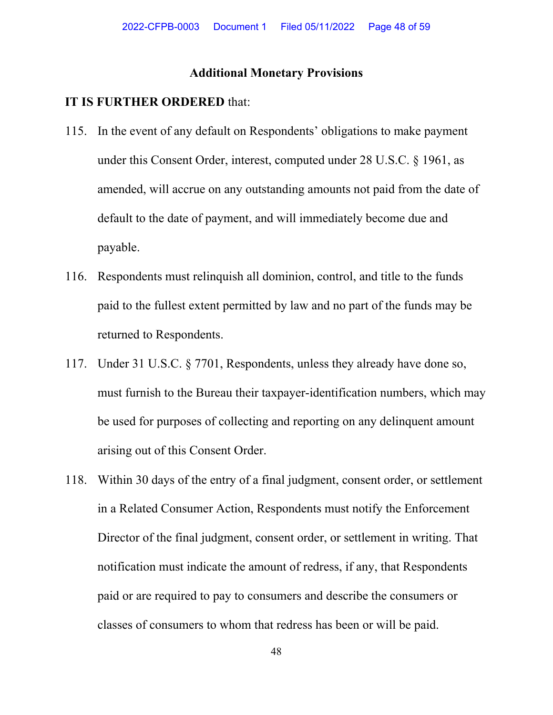## **Additional Monetary Provisions**

- 115. In the event of any default on Respondents' obligations to make payment under this Consent Order, interest, computed under 28 U.S.C. § 1961, as amended, will accrue on any outstanding amounts not paid from the date of default to the date of payment, and will immediately become due and payable.
- 116. Respondents must relinquish all dominion, control, and title to the funds paid to the fullest extent permitted by law and no part of the funds may be returned to Respondents.
- 117. Under 31 U.S.C. § 7701, Respondents, unless they already have done so, must furnish to the Bureau their taxpayer-identification numbers, which may be used for purposes of collecting and reporting on any delinquent amount arising out of this Consent Order.
- 118. Within 30 days of the entry of a final judgment, consent order, or settlement in a Related Consumer Action, Respondents must notify the Enforcement Director of the final judgment, consent order, or settlement in writing. That notification must indicate the amount of redress, if any, that Respondents paid or are required to pay to consumers and describe the consumers or classes of consumers to whom that redress has been or will be paid.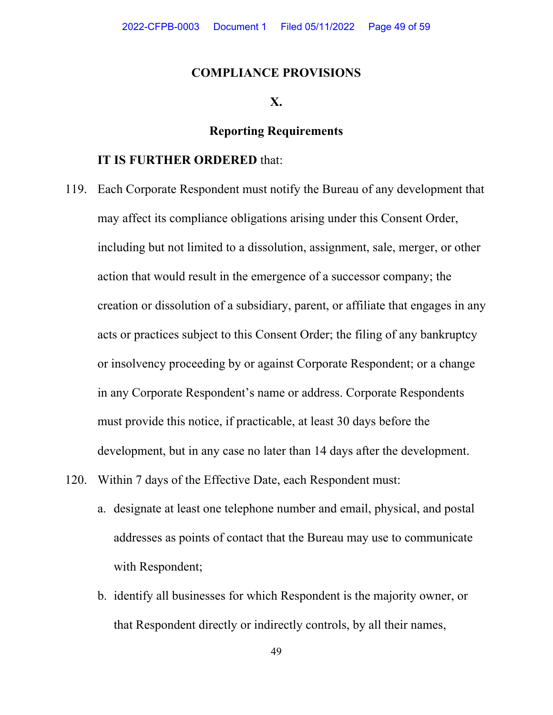### **COMPLIANCE PROVISIONS**

#### **X.**

# **Reporting Requirements**

- 119. Each Corporate Respondent must notify the Bureau of any development that may affect its compliance obligations arising under this Consent Order, including but not limited to a dissolution, assignment, sale, merger, or other action that would result in the emergence of a successor company; the creation or dissolution of a subsidiary, parent, or affiliate that engages in any acts or practices subject to this Consent Order; the filing of any bankruptcy or insolvency proceeding by or against Corporate Respondent; or a change in any Corporate Respondent's name or address. Corporate Respondents must provide this notice, if practicable, at least 30 days before the development, but in any case no later than 14 days after the development.
- 120. Within 7 days of the Effective Date, each Respondent must:
	- a. designate at least one telephone number and email, physical, and postal addresses as points of contact that the Bureau may use to communicate with Respondent;
	- b. identify all businesses for which Respondent is the majority owner, or that Respondent directly or indirectly controls, by all their names,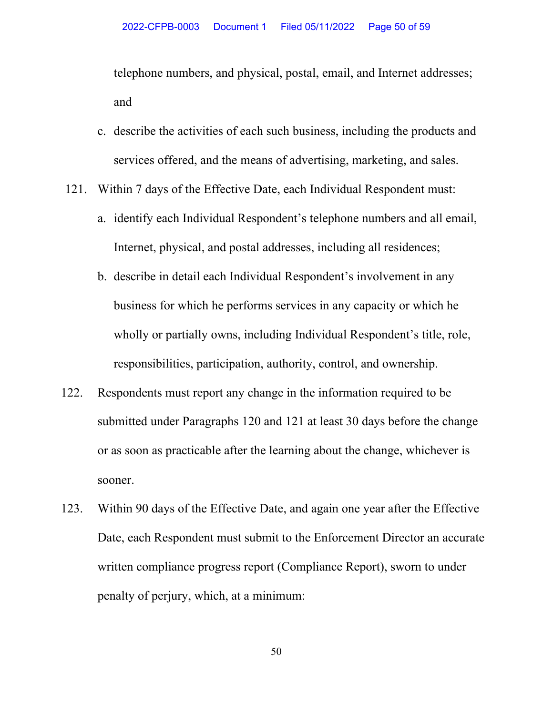telephone numbers, and physical, postal, email, and Internet addresses; and

- c. describe the activities of each such business, including the products and services offered, and the means of advertising, marketing, and sales.
- 121. Within 7 days of the Effective Date, each Individual Respondent must:
	- a. identify each Individual Respondent's telephone numbers and all email, Internet, physical, and postal addresses, including all residences;
	- b. describe in detail each Individual Respondent's involvement in any business for which he performs services in any capacity or which he wholly or partially owns, including Individual Respondent's title, role, responsibilities, participation, authority, control, and ownership.
- 122. Respondents must report any change in the information required to be submitted under Paragraphs 120 and 121 at least 30 days before the change or as soon as practicable after the learning about the change, whichever is sooner.
- 123. Within 90 days of the Effective Date, and again one year after the Effective Date, each Respondent must submit to the Enforcement Director an accurate written compliance progress report (Compliance Report), sworn to under penalty of perjury, which, at a minimum: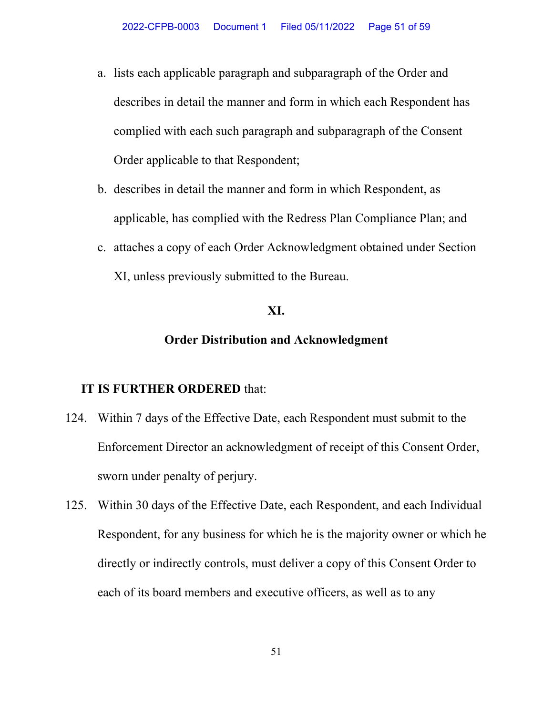- a. lists each applicable paragraph and subparagraph of the Order and describes in detail the manner and form in which each Respondent has complied with each such paragraph and subparagraph of the Consent Order applicable to that Respondent;
- b. describes in detail the manner and form in which Respondent, as applicable, has complied with the Redress Plan Compliance Plan; and
- c. attaches a copy of each Order Acknowledgment obtained under Section XI, unless previously submitted to the Bureau.

### **XI.**

## **Order Distribution and Acknowledgment**

- 124. Within 7 days of the Effective Date, each Respondent must submit to the Enforcement Director an acknowledgment of receipt of this Consent Order, sworn under penalty of perjury.
- 125. Within 30 days of the Effective Date, each Respondent, and each Individual Respondent, for any business for which he is the majority owner or which he directly or indirectly controls, must deliver a copy of this Consent Order to each of its board members and executive officers, as well as to any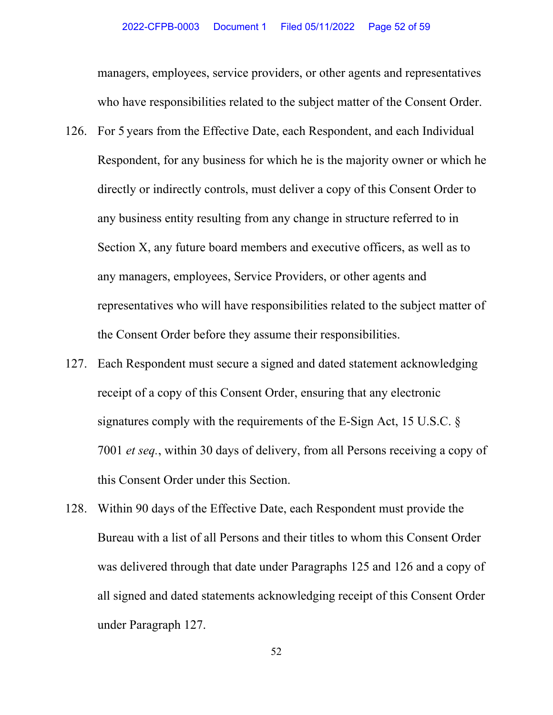managers, employees, service providers, or other agents and representatives who have responsibilities related to the subject matter of the Consent Order.

- 126. For 5 years from the Effective Date, each Respondent, and each Individual Respondent, for any business for which he is the majority owner or which he directly or indirectly controls, must deliver a copy of this Consent Order to any business entity resulting from any change in structure referred to in Section X, any future board members and executive officers, as well as to any managers, employees, Service Providers, or other agents and representatives who will have responsibilities related to the subject matter of the Consent Order before they assume their responsibilities.
- 127. Each Respondent must secure a signed and dated statement acknowledging receipt of a copy of this Consent Order, ensuring that any electronic signatures comply with the requirements of the E-Sign Act, 15 U.S.C. § 7001 *et seq.*, within 30 days of delivery, from all Persons receiving a copy of this Consent Order under this Section.
- 128. Within 90 days of the Effective Date, each Respondent must provide the Bureau with a list of all Persons and their titles to whom this Consent Order was delivered through that date under Paragraphs 125 and 126 and a copy of all signed and dated statements acknowledging receipt of this Consent Order under Paragraph 127.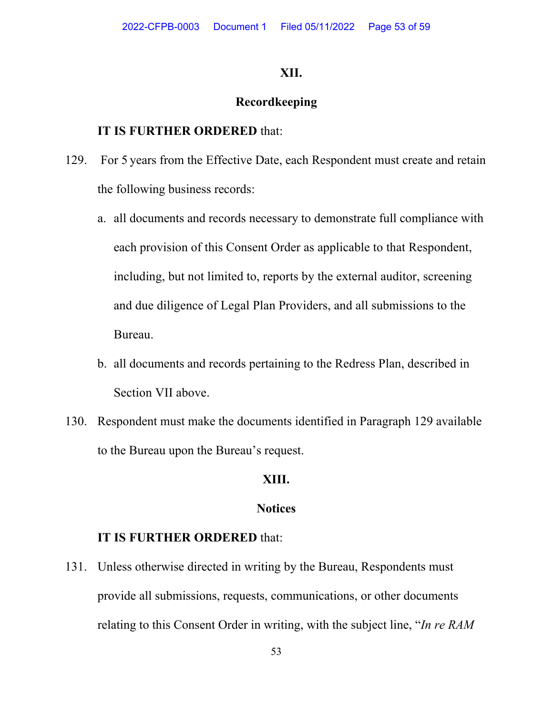### **XII.**

# **Recordkeeping**

### **IT IS FURTHER ORDERED** that:

- 129. For 5 years from the Effective Date, each Respondent must create and retain the following business records:
	- a. all documents and records necessary to demonstrate full compliance with each provision of this Consent Order as applicable to that Respondent, including, but not limited to, reports by the external auditor, screening and due diligence of Legal Plan Providers, and all submissions to the Bureau.
	- b. all documents and records pertaining to the Redress Plan, described in Section VII above.
- 130. Respondent must make the documents identified in Paragraph 129 available to the Bureau upon the Bureau's request.

## **XIII.**

### **Notices**

### **IT IS FURTHER ORDERED** that:

131. Unless otherwise directed in writing by the Bureau, Respondents must provide all submissions, requests, communications, or other documents relating to this Consent Order in writing, with the subject line, "*In re RAM*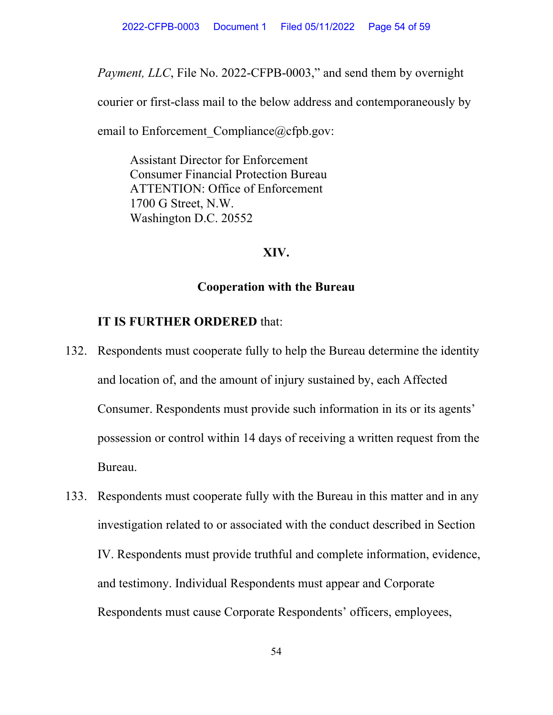*Payment, LLC*, File No. 2022-CFPB-0003," and send them by overnight

courier or first-class mail to the below address and contemporaneously by

email to Enforcement Compliance@cfpb.gov:

Assistant Director for Enforcement Consumer Financial Protection Bureau ATTENTION: Office of Enforcement 1700 G Street, N.W. Washington D.C. 20552

# **XIV.**

## **Cooperation with the Bureau**

- 132. Respondents must cooperate fully to help the Bureau determine the identity and location of, and the amount of injury sustained by, each Affected Consumer. Respondents must provide such information in its or its agents' possession or control within 14 days of receiving a written request from the Bureau.
- 133. Respondents must cooperate fully with the Bureau in this matter and in any investigation related to or associated with the conduct described in Section IV. Respondents must provide truthful and complete information, evidence, and testimony. Individual Respondents must appear and Corporate Respondents must cause Corporate Respondents' officers, employees,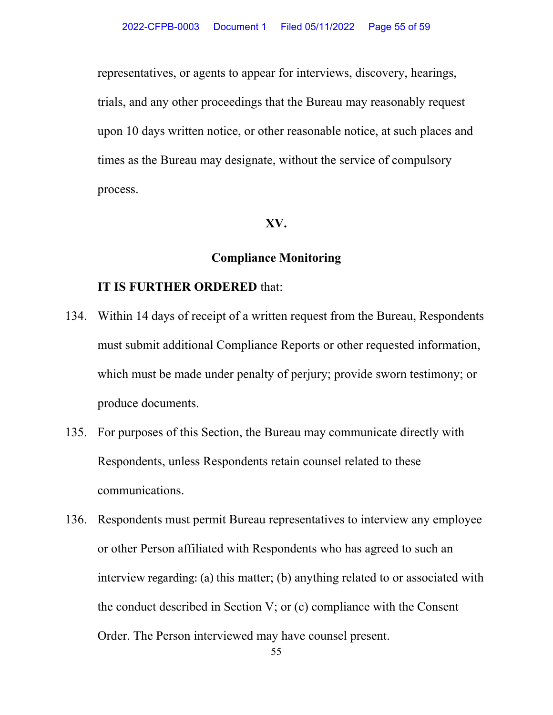representatives, or agents to appear for interviews, discovery, hearings, trials, and any other proceedings that the Bureau may reasonably request upon 10 days written notice, or other reasonable notice, at such places and times as the Bureau may designate, without the service of compulsory process.

### **XV.**

### **Compliance Monitoring**

- 134. Within 14 days of receipt of a written request from the Bureau, Respondents must submit additional Compliance Reports or other requested information, which must be made under penalty of perjury; provide sworn testimony; or produce documents.
- 135. For purposes of this Section, the Bureau may communicate directly with Respondents, unless Respondents retain counsel related to these communications.
- 136. Respondents must permit Bureau representatives to interview any employee or other Person affiliated with Respondents who has agreed to such an interview regarding: (a) this matter; (b) anything related to or associated with the conduct described in Section V; or (c) compliance with the Consent Order. The Person interviewed may have counsel present.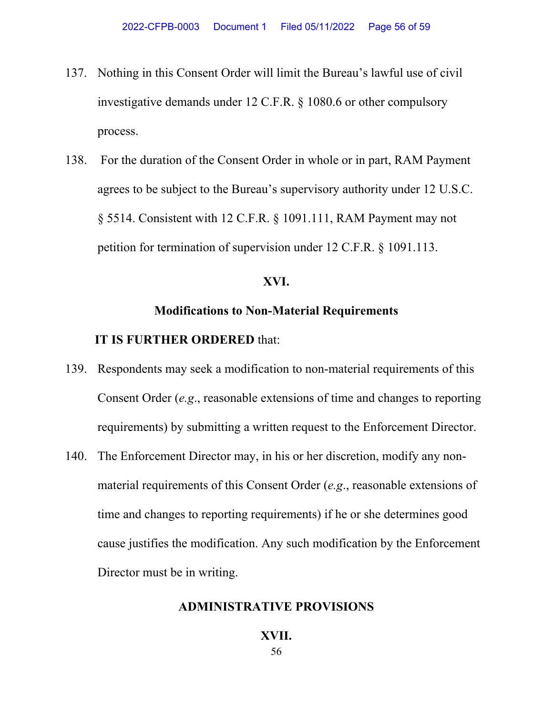- 137. Nothing in this Consent Order will limit the Bureau's lawful use of civil investigative demands under 12 C.F.R. § 1080.6 or other compulsory process.
- 138. For the duration of the Consent Order in whole or in part, RAM Payment agrees to be subject to the Bureau's supervisory authority under 12 U.S.C. § 5514. Consistent with 12 C.F.R. § 1091.111, RAM Payment may not petition for termination of supervision under 12 C.F.R. § 1091.113.

### **XVI.**

#### **Modifications to Non-Material Requirements**

### **IT IS FURTHER ORDERED** that:

- 139. Respondents may seek a modification to non-material requirements of this Consent Order (*e.g*., reasonable extensions of time and changes to reporting requirements) by submitting a written request to the Enforcement Director.
- 140. The Enforcement Director may, in his or her discretion, modify any nonmaterial requirements of this Consent Order (*e.g*., reasonable extensions of time and changes to reporting requirements) if he or she determines good cause justifies the modification. Any such modification by the Enforcement Director must be in writing.

#### **ADMINISTRATIVE PROVISIONS**

#### **XVII.**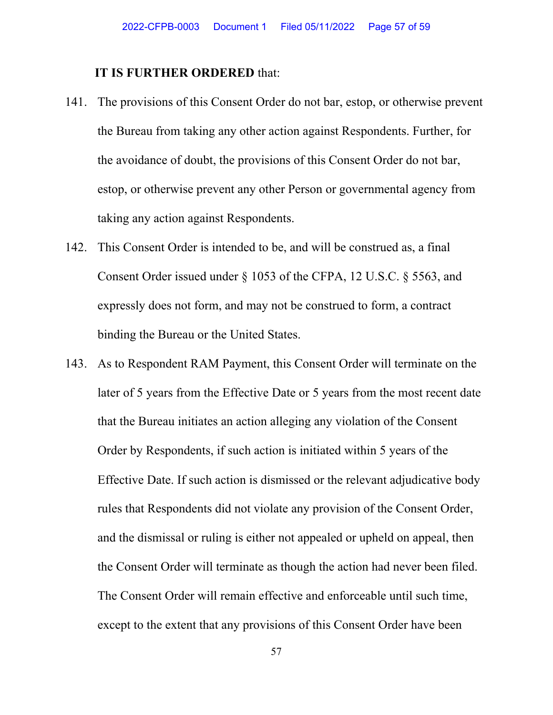- 141. The provisions of this Consent Order do not bar, estop, or otherwise prevent the Bureau from taking any other action against Respondents. Further, for the avoidance of doubt, the provisions of this Consent Order do not bar, estop, or otherwise prevent any other Person or governmental agency from taking any action against Respondents.
- 142. This Consent Order is intended to be, and will be construed as, a final Consent Order issued under § 1053 of the CFPA, 12 U.S.C. § 5563, and expressly does not form, and may not be construed to form, a contract binding the Bureau or the United States.
- 143. As to Respondent RAM Payment, this Consent Order will terminate on the later of 5 years from the Effective Date or 5 years from the most recent date that the Bureau initiates an action alleging any violation of the Consent Order by Respondents, if such action is initiated within 5 years of the Effective Date. If such action is dismissed or the relevant adjudicative body rules that Respondents did not violate any provision of the Consent Order, and the dismissal or ruling is either not appealed or upheld on appeal, then the Consent Order will terminate as though the action had never been filed. The Consent Order will remain effective and enforceable until such time, except to the extent that any provisions of this Consent Order have been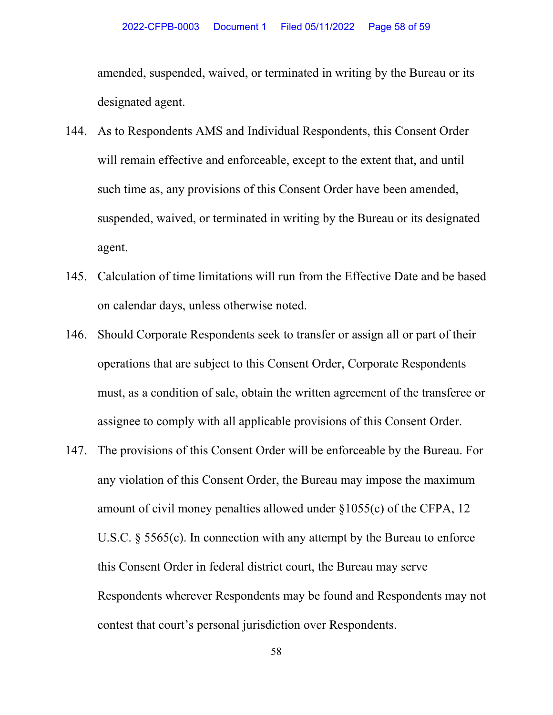amended, suspended, waived, or terminated in writing by the Bureau or its designated agent.

- 144. As to Respondents AMS and Individual Respondents, this Consent Order will remain effective and enforceable, except to the extent that, and until such time as, any provisions of this Consent Order have been amended, suspended, waived, or terminated in writing by the Bureau or its designated agent.
- 145. Calculation of time limitations will run from the Effective Date and be based on calendar days, unless otherwise noted.
- 146. Should Corporate Respondents seek to transfer or assign all or part of their operations that are subject to this Consent Order, Corporate Respondents must, as a condition of sale, obtain the written agreement of the transferee or assignee to comply with all applicable provisions of this Consent Order.
- 147. The provisions of this Consent Order will be enforceable by the Bureau. For any violation of this Consent Order, the Bureau may impose the maximum amount of civil money penalties allowed under  $\S 1055(c)$  of the CFPA, 12 U.S.C. § 5565(c). In connection with any attempt by the Bureau to enforce this Consent Order in federal district court, the Bureau may serve Respondents wherever Respondents may be found and Respondents may not contest that court's personal jurisdiction over Respondents.